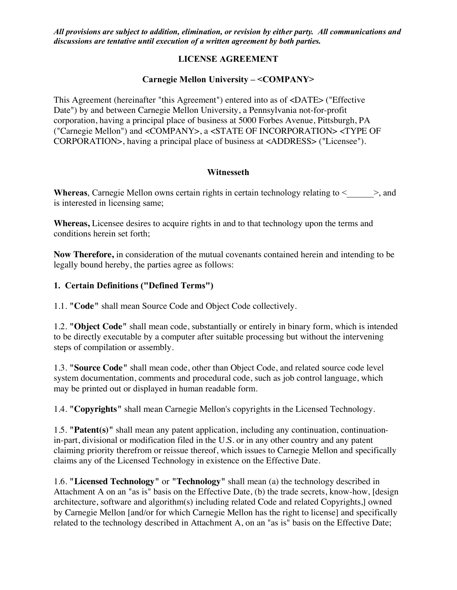# **LICENSE AGREEMENT**

# **Carnegie Mellon University – <COMPANY>**

This Agreement (hereinafter "this Agreement") entered into as of <DATE> ("Effective Date") by and between Carnegie Mellon University, a Pennsylvania not-for-profit corporation, having a principal place of business at 5000 Forbes Avenue, Pittsburgh, PA ("Carnegie Mellon") and <COMPANY>, a <STATE OF INCORPORATION> <TYPE OF CORPORATION>, having a principal place of business at <ADDRESS> ("Licensee").

## **Witnesseth**

**Whereas**, Carnegie Mellon owns certain rights in certain technology relating to  $\leq$   $\geq$ , and is interested in licensing same;

**Whereas,** Licensee desires to acquire rights in and to that technology upon the terms and conditions herein set forth;

**Now Therefore,** in consideration of the mutual covenants contained herein and intending to be legally bound hereby, the parties agree as follows:

# **1. Certain Definitions ("Defined Terms")**

1.1. **"Code"** shall mean Source Code and Object Code collectively.

1.2. **"Object Code"** shall mean code, substantially or entirely in binary form, which is intended to be directly executable by a computer after suitable processing but without the intervening steps of compilation or assembly.

1.3. **"Source Code"** shall mean code, other than Object Code, and related source code level system documentation, comments and procedural code, such as job control language, which may be printed out or displayed in human readable form.

1.4. **"Copyrights"** shall mean Carnegie Mellon's copyrights in the Licensed Technology.

1.5. **"Patent(s)"** shall mean any patent application, including any continuation, continuationin-part, divisional or modification filed in the U.S. or in any other country and any patent claiming priority therefrom or reissue thereof, which issues to Carnegie Mellon and specifically claims any of the Licensed Technology in existence on the Effective Date.

1.6. **"Licensed Technology"** or **"Technology"** shall mean (a) the technology described in Attachment A on an "as is" basis on the Effective Date, (b) the trade secrets, know-how, [design architecture, software and algorithm(s) including related Code and related Copyrights,] owned by Carnegie Mellon [and/or for which Carnegie Mellon has the right to license] and specifically related to the technology described in Attachment A, on an "as is" basis on the Effective Date;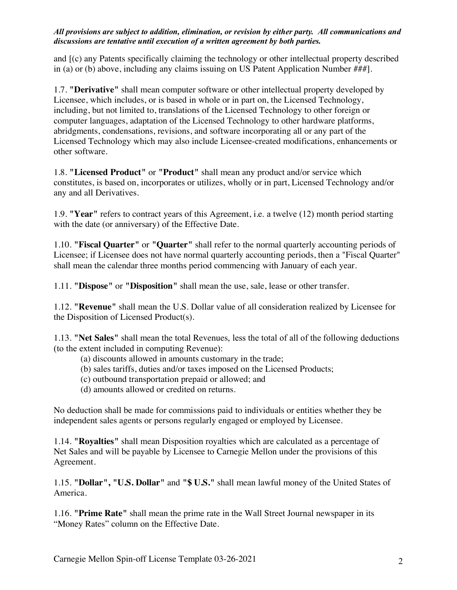and [(c) any Patents specifically claiming the technology or other intellectual property described in (a) or (b) above, including any claims issuing on US Patent Application Number ###].

1.7. **"Derivative"** shall mean computer software or other intellectual property developed by Licensee, which includes, or is based in whole or in part on, the Licensed Technology, including, but not limited to, translations of the Licensed Technology to other foreign or computer languages, adaptation of the Licensed Technology to other hardware platforms, abridgments, condensations, revisions, and software incorporating all or any part of the Licensed Technology which may also include Licensee-created modifications, enhancements or other software.

1.8. **"Licensed Product"** or **"Product"** shall mean any product and/or service which constitutes, is based on, incorporates or utilizes, wholly or in part, Licensed Technology and/or any and all Derivatives.

1.9. **"Year"** refers to contract years of this Agreement, i.e. a twelve (12) month period starting with the date (or anniversary) of the Effective Date.

1.10. **"Fiscal Quarter"** or **"Quarter"** shall refer to the normal quarterly accounting periods of Licensee; if Licensee does not have normal quarterly accounting periods, then a "Fiscal Quarter" shall mean the calendar three months period commencing with January of each year.

1.11. **"Dispose"** or **"Disposition"** shall mean the use, sale, lease or other transfer.

1.12. **"Revenue"** shall mean the U.S. Dollar value of all consideration realized by Licensee for the Disposition of Licensed Product(s).

1.13. **"Net Sales"** shall mean the total Revenues, less the total of all of the following deductions (to the extent included in computing Revenue):

- (a) discounts allowed in amounts customary in the trade;
- (b) sales tariffs, duties and/or taxes imposed on the Licensed Products;
- (c) outbound transportation prepaid or allowed; and
- (d) amounts allowed or credited on returns.

No deduction shall be made for commissions paid to individuals or entities whether they be independent sales agents or persons regularly engaged or employed by Licensee.

1.14. **"Royalties"** shall mean Disposition royalties which are calculated as a percentage of Net Sales and will be payable by Licensee to Carnegie Mellon under the provisions of this Agreement.

1.15. **"Dollar", "U.S. Dollar"** and **"\$ U.S."** shall mean lawful money of the United States of America.

1.16. **"Prime Rate"** shall mean the prime rate in the Wall Street Journal newspaper in its "Money Rates" column on the Effective Date.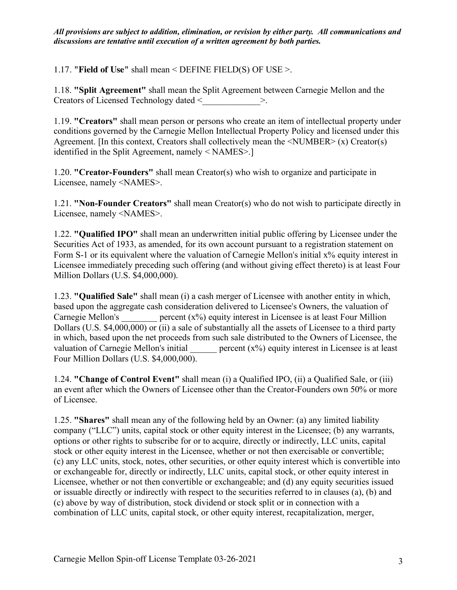1.17. **"Field of Use"** shall mean < DEFINE FIELD(S) OF USE >.

1.18. **"Split Agreement"** shall mean the Split Agreement between Carnegie Mellon and the Creators of Licensed Technology dated <  $\geq$ 

1.19. **"Creators"** shall mean person or persons who create an item of intellectual property under conditions governed by the Carnegie Mellon Intellectual Property Policy and licensed under this Agreement. [In this context, Creators shall collectively mean the  $\langle$ NUMBER $\rangle$  (x) Creator(s) identified in the Split Agreement, namely < NAMES>.]

1.20. **"Creator-Founders"** shall mean Creator(s) who wish to organize and participate in Licensee, namely <NAMES>.

1.21. **"Non-Founder Creators"** shall mean Creator(s) who do not wish to participate directly in Licensee, namely <NAMES>.

1.22. **"Qualified IPO"** shall mean an underwritten initial public offering by Licensee under the Securities Act of 1933, as amended, for its own account pursuant to a registration statement on Form S-1 or its equivalent where the valuation of Carnegie Mellon's initial x% equity interest in Licensee immediately preceding such offering (and without giving effect thereto) is at least Four Million Dollars (U.S. \$4,000,000).

1.23. **"Qualified Sale"** shall mean (i) a cash merger of Licensee with another entity in which, based upon the aggregate cash consideration delivered to Licensee's Owners, the valuation of Carnegie Mellon's  $\qquad \qquad$  percent  $(x\%)$  equity interest in Licensee is at least Four Million Dollars (U.S.  $$4,000,000$ ) or (ii) a sale of substantially all the assets of Licensee to a third party in which, based upon the net proceeds from such sale distributed to the Owners of Licensee, the valuation of Carnegie Mellon's initial  $\qquad \qquad$  percent  $(x\%)$  equity interest in Licensee is at least Four Million Dollars (U.S. \$4,000,000).

1.24. **"Change of Control Event"** shall mean (i) a Qualified IPO, (ii) a Qualified Sale, or (iii) an event after which the Owners of Licensee other than the Creator-Founders own 50% or more of Licensee.

1.25. **"Shares"** shall mean any of the following held by an Owner: (a) any limited liability company ("LLC") units, capital stock or other equity interest in the Licensee; (b) any warrants, options or other rights to subscribe for or to acquire, directly or indirectly, LLC units, capital stock or other equity interest in the Licensee, whether or not then exercisable or convertible; (c) any LLC units, stock, notes, other securities, or other equity interest which is convertible into or exchangeable for, directly or indirectly, LLC units, capital stock, or other equity interest in Licensee, whether or not then convertible or exchangeable; and (d) any equity securities issued or issuable directly or indirectly with respect to the securities referred to in clauses (a), (b) and (c) above by way of distribution, stock dividend or stock split or in connection with a combination of LLC units, capital stock, or other equity interest, recapitalization, merger,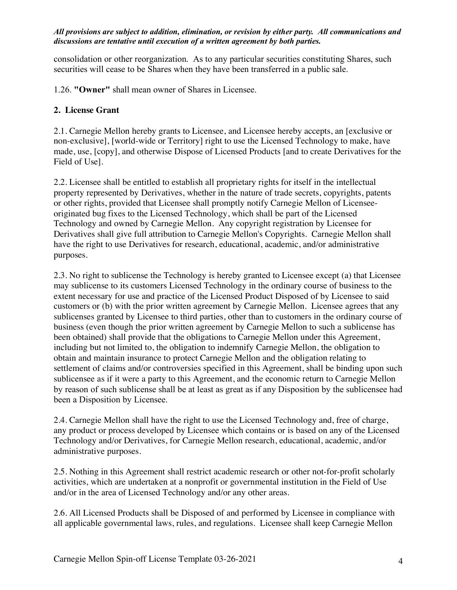consolidation or other reorganization. As to any particular securities constituting Shares, such securities will cease to be Shares when they have been transferred in a public sale.

1.26. **"Owner"** shall mean owner of Shares in Licensee.

# **2. License Grant**

2.1. Carnegie Mellon hereby grants to Licensee, and Licensee hereby accepts, an [exclusive or non-exclusive], [world-wide or Territory] right to use the Licensed Technology to make, have made, use, [copy], and otherwise Dispose of Licensed Products [and to create Derivatives for the Field of Use].

2.2. Licensee shall be entitled to establish all proprietary rights for itself in the intellectual property represented by Derivatives, whether in the nature of trade secrets, copyrights, patents or other rights, provided that Licensee shall promptly notify Carnegie Mellon of Licenseeoriginated bug fixes to the Licensed Technology, which shall be part of the Licensed Technology and owned by Carnegie Mellon. Any copyright registration by Licensee for Derivatives shall give full attribution to Carnegie Mellon's Copyrights. Carnegie Mellon shall have the right to use Derivatives for research, educational, academic, and/or administrative purposes.

2.3. No right to sublicense the Technology is hereby granted to Licensee except (a) that Licensee may sublicense to its customers Licensed Technology in the ordinary course of business to the extent necessary for use and practice of the Licensed Product Disposed of by Licensee to said customers or (b) with the prior written agreement by Carnegie Mellon. Licensee agrees that any sublicenses granted by Licensee to third parties, other than to customers in the ordinary course of business (even though the prior written agreement by Carnegie Mellon to such a sublicense has been obtained) shall provide that the obligations to Carnegie Mellon under this Agreement, including but not limited to, the obligation to indemnify Carnegie Mellon, the obligation to obtain and maintain insurance to protect Carnegie Mellon and the obligation relating to settlement of claims and/or controversies specified in this Agreement, shall be binding upon such sublicensee as if it were a party to this Agreement, and the economic return to Carnegie Mellon by reason of such sublicense shall be at least as great as if any Disposition by the sublicensee had been a Disposition by Licensee.

2.4. Carnegie Mellon shall have the right to use the Licensed Technology and, free of charge, any product or process developed by Licensee which contains or is based on any of the Licensed Technology and/or Derivatives, for Carnegie Mellon research, educational, academic, and/or administrative purposes.

2.5. Nothing in this Agreement shall restrict academic research or other not-for-profit scholarly activities, which are undertaken at a nonprofit or governmental institution in the Field of Use and/or in the area of Licensed Technology and/or any other areas.

2.6. All Licensed Products shall be Disposed of and performed by Licensee in compliance with all applicable governmental laws, rules, and regulations. Licensee shall keep Carnegie Mellon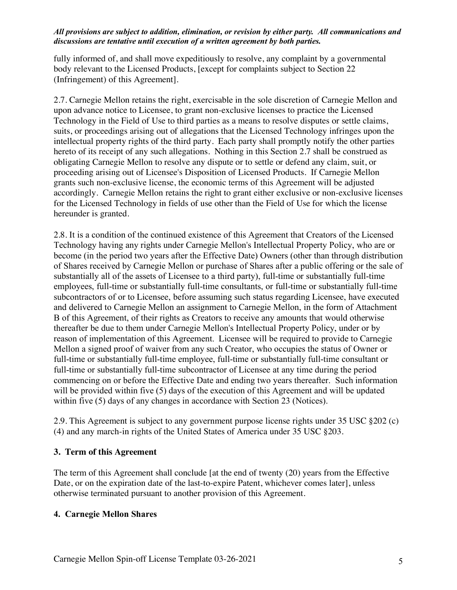fully informed of, and shall move expeditiously to resolve, any complaint by a governmental body relevant to the Licensed Products, [except for complaints subject to Section 22 (Infringement) of this Agreement].

2.7. Carnegie Mellon retains the right, exercisable in the sole discretion of Carnegie Mellon and upon advance notice to Licensee, to grant non-exclusive licenses to practice the Licensed Technology in the Field of Use to third parties as a means to resolve disputes or settle claims, suits, or proceedings arising out of allegations that the Licensed Technology infringes upon the intellectual property rights of the third party. Each party shall promptly notify the other parties hereto of its receipt of any such allegations. Nothing in this Section 2.7 shall be construed as obligating Carnegie Mellon to resolve any dispute or to settle or defend any claim, suit, or proceeding arising out of Licensee's Disposition of Licensed Products. If Carnegie Mellon grants such non-exclusive license, the economic terms of this Agreement will be adjusted accordingly. Carnegie Mellon retains the right to grant either exclusive or non-exclusive licenses for the Licensed Technology in fields of use other than the Field of Use for which the license hereunder is granted.

2.8. It is a condition of the continued existence of this Agreement that Creators of the Licensed Technology having any rights under Carnegie Mellon's Intellectual Property Policy, who are or become (in the period two years after the Effective Date) Owners (other than through distribution of Shares received by Carnegie Mellon or purchase of Shares after a public offering or the sale of substantially all of the assets of Licensee to a third party), full-time or substantially full-time employees, full-time or substantially full-time consultants, or full-time or substantially full-time subcontractors of or to Licensee, before assuming such status regarding Licensee, have executed and delivered to Carnegie Mellon an assignment to Carnegie Mellon, in the form of Attachment B of this Agreement, of their rights as Creators to receive any amounts that would otherwise thereafter be due to them under Carnegie Mellon's Intellectual Property Policy, under or by reason of implementation of this Agreement. Licensee will be required to provide to Carnegie Mellon a signed proof of waiver from any such Creator, who occupies the status of Owner or full-time or substantially full-time employee, full-time or substantially full-time consultant or full-time or substantially full-time subcontractor of Licensee at any time during the period commencing on or before the Effective Date and ending two years thereafter. Such information will be provided within five (5) days of the execution of this Agreement and will be updated within five (5) days of any changes in accordance with Section 23 (Notices).

2.9. This Agreement is subject to any government purpose license rights under 35 USC §202 (c) (4) and any march-in rights of the United States of America under 35 USC §203.

## **3. Term of this Agreement**

The term of this Agreement shall conclude [at the end of twenty (20) years from the Effective Date, or on the expiration date of the last-to-expire Patent, whichever comes later], unless otherwise terminated pursuant to another provision of this Agreement.

# **4. Carnegie Mellon Shares**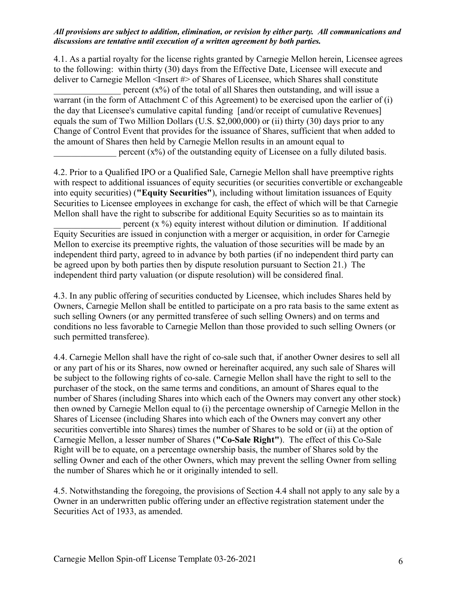4.1. As a partial royalty for the license rights granted by Carnegie Mellon herein, Licensee agrees to the following: within thirty (30) days from the Effective Date, Licensee will execute and deliver to Carnegie Mellon <Insert #> of Shares of Licensee, which Shares shall constitute percent  $(x\%)$  of the total of all Shares then outstanding, and will issue a warrant (in the form of Attachment C of this Agreement) to be exercised upon the earlier of (i) the day that Licensee's cumulative capital funding [and/or receipt of cumulative Revenues] equals the sum of Two Million Dollars (U.S. \$2,000,000) or (ii) thirty (30) days prior to any Change of Control Event that provides for the issuance of Shares, sufficient that when added to the amount of Shares then held by Carnegie Mellon results in an amount equal to percent  $(x\%)$  of the outstanding equity of Licensee on a fully diluted basis.

4.2. Prior to a Qualified IPO or a Qualified Sale, Carnegie Mellon shall have preemptive rights with respect to additional issuances of equity securities (or securities convertible or exchangeable into equity securities) (**"Equity Securities"**), including without limitation issuances of Equity Securities to Licensee employees in exchange for cash, the effect of which will be that Carnegie Mellon shall have the right to subscribe for additional Equity Securities so as to maintain its percent  $(x \%)$  equity interest without dilution or diminution. If additional

Equity Securities are issued in conjunction with a merger or acquisition, in order for Carnegie Mellon to exercise its preemptive rights, the valuation of those securities will be made by an independent third party, agreed to in advance by both parties (if no independent third party can be agreed upon by both parties then by dispute resolution pursuant to Section 21.) The independent third party valuation (or dispute resolution) will be considered final.

4.3. In any public offering of securities conducted by Licensee, which includes Shares held by Owners, Carnegie Mellon shall be entitled to participate on a pro rata basis to the same extent as such selling Owners (or any permitted transferee of such selling Owners) and on terms and conditions no less favorable to Carnegie Mellon than those provided to such selling Owners (or such permitted transferee).

4.4. Carnegie Mellon shall have the right of co-sale such that, if another Owner desires to sell all or any part of his or its Shares, now owned or hereinafter acquired, any such sale of Shares will be subject to the following rights of co-sale. Carnegie Mellon shall have the right to sell to the purchaser of the stock, on the same terms and conditions, an amount of Shares equal to the number of Shares (including Shares into which each of the Owners may convert any other stock) then owned by Carnegie Mellon equal to (i) the percentage ownership of Carnegie Mellon in the Shares of Licensee (including Shares into which each of the Owners may convert any other securities convertible into Shares) times the number of Shares to be sold or (ii) at the option of Carnegie Mellon, a lesser number of Shares (**"Co-Sale Right"**). The effect of this Co-Sale Right will be to equate, on a percentage ownership basis, the number of Shares sold by the selling Owner and each of the other Owners, which may prevent the selling Owner from selling the number of Shares which he or it originally intended to sell.

4.5. Notwithstanding the foregoing, the provisions of Section 4.4 shall not apply to any sale by a Owner in an underwritten public offering under an effective registration statement under the Securities Act of 1933, as amended.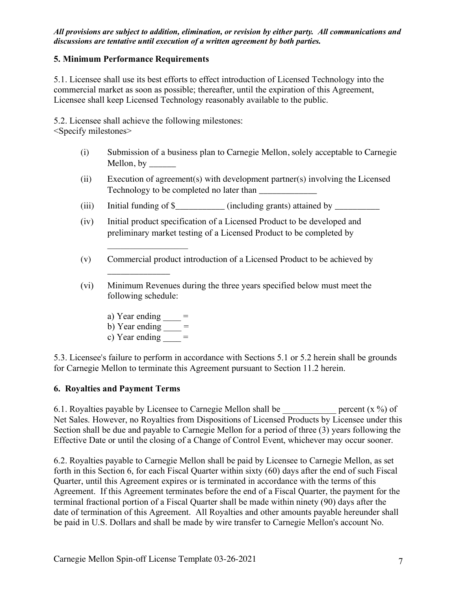## **5. Minimum Performance Requirements**

5.1. Licensee shall use its best efforts to effect introduction of Licensed Technology into the commercial market as soon as possible; thereafter, until the expiration of this Agreement, Licensee shall keep Licensed Technology reasonably available to the public.

5.2. Licensee shall achieve the following milestones:

<Specify milestones>

- (i) Submission of a business plan to Carnegie Mellon, solely acceptable to Carnegie Mellon, by  $\_\_\_\_\_\_\_\_\$
- (ii) Execution of agreement(s) with development partner(s) involving the Licensed Technology to be completed no later than
- (iii) Initial funding of  $\frac{1}{2}$  (including grants) attained by  $\frac{1}{2}$
- (iv) Initial product specification of a Licensed Product to be developed and preliminary market testing of a Licensed Product to be completed by
- (v) Commercial product introduction of a Licensed Product to be achieved by
- (vi) Minimum Revenues during the three years specified below must meet the following schedule:
	- a) Year ending  $=$

 $\mathcal{L}_\text{max}$  , where  $\mathcal{L}_\text{max}$ 

 $\overline{\phantom{a}}$  , where  $\overline{\phantom{a}}$ 

- b) Year ending  $=$
- c) Year ending  $=$

5.3. Licensee's failure to perform in accordance with Sections 5.1 or 5.2 herein shall be grounds for Carnegie Mellon to terminate this Agreement pursuant to Section 11.2 herein.

## **6. Royalties and Payment Terms**

6.1. Royalties payable by Licensee to Carnegie Mellon shall be  $\qquad \qquad \text{percent (x %)}$  of Net Sales. However, no Royalties from Dispositions of Licensed Products by Licensee under this Section shall be due and payable to Carnegie Mellon for a period of three (3) years following the Effective Date or until the closing of a Change of Control Event, whichever may occur sooner.

6.2. Royalties payable to Carnegie Mellon shall be paid by Licensee to Carnegie Mellon, as set forth in this Section 6, for each Fiscal Quarter within sixty (60) days after the end of such Fiscal Quarter, until this Agreement expires or is terminated in accordance with the terms of this Agreement. If this Agreement terminates before the end of a Fiscal Quarter, the payment for the terminal fractional portion of a Fiscal Quarter shall be made within ninety (90) days after the date of termination of this Agreement. All Royalties and other amounts payable hereunder shall be paid in U.S. Dollars and shall be made by wire transfer to Carnegie Mellon's account No.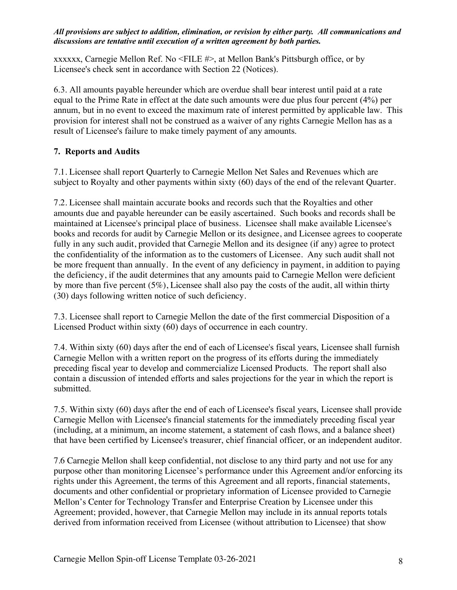xxxxxx, Carnegie Mellon Ref. No <FILE #>, at Mellon Bank's Pittsburgh office, or by Licensee's check sent in accordance with Section 22 (Notices).

6.3. All amounts payable hereunder which are overdue shall bear interest until paid at a rate equal to the Prime Rate in effect at the date such amounts were due plus four percent (4%) per annum, but in no event to exceed the maximum rate of interest permitted by applicable law. This provision for interest shall not be construed as a waiver of any rights Carnegie Mellon has as a result of Licensee's failure to make timely payment of any amounts.

# **7. Reports and Audits**

7.1. Licensee shall report Quarterly to Carnegie Mellon Net Sales and Revenues which are subject to Royalty and other payments within sixty (60) days of the end of the relevant Quarter.

7.2. Licensee shall maintain accurate books and records such that the Royalties and other amounts due and payable hereunder can be easily ascertained. Such books and records shall be maintained at Licensee's principal place of business. Licensee shall make available Licensee's books and records for audit by Carnegie Mellon or its designee, and Licensee agrees to cooperate fully in any such audit, provided that Carnegie Mellon and its designee (if any) agree to protect the confidentiality of the information as to the customers of Licensee. Any such audit shall not be more frequent than annually. In the event of any deficiency in payment, in addition to paying the deficiency, if the audit determines that any amounts paid to Carnegie Mellon were deficient by more than five percent  $(5\%)$ , Licensee shall also pay the costs of the audit, all within thirty (30) days following written notice of such deficiency.

7.3. Licensee shall report to Carnegie Mellon the date of the first commercial Disposition of a Licensed Product within sixty (60) days of occurrence in each country.

7.4. Within sixty (60) days after the end of each of Licensee's fiscal years, Licensee shall furnish Carnegie Mellon with a written report on the progress of its efforts during the immediately preceding fiscal year to develop and commercialize Licensed Products. The report shall also contain a discussion of intended efforts and sales projections for the year in which the report is submitted.

7.5. Within sixty (60) days after the end of each of Licensee's fiscal years, Licensee shall provide Carnegie Mellon with Licensee's financial statements for the immediately preceding fiscal year (including, at a minimum, an income statement, a statement of cash flows, and a balance sheet) that have been certified by Licensee's treasurer, chief financial officer, or an independent auditor.

7.6 Carnegie Mellon shall keep confidential, not disclose to any third party and not use for any purpose other than monitoring Licensee's performance under this Agreement and/or enforcing its rights under this Agreement, the terms of this Agreement and all reports, financial statements, documents and other confidential or proprietary information of Licensee provided to Carnegie Mellon's Center for Technology Transfer and Enterprise Creation by Licensee under this Agreement; provided, however, that Carnegie Mellon may include in its annual reports totals derived from information received from Licensee (without attribution to Licensee) that show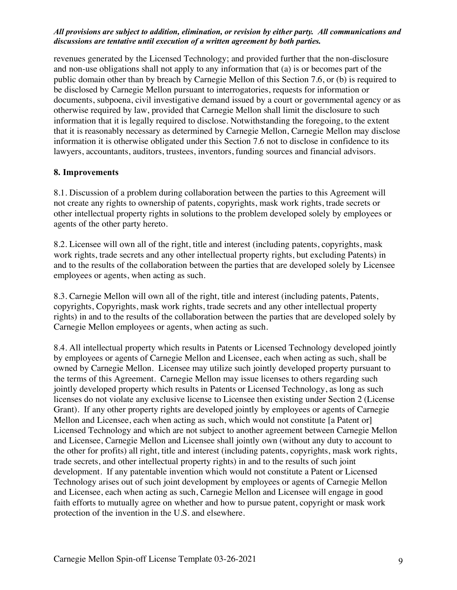revenues generated by the Licensed Technology; and provided further that the non-disclosure and non-use obligations shall not apply to any information that (a) is or becomes part of the public domain other than by breach by Carnegie Mellon of this Section 7.6, or (b) is required to be disclosed by Carnegie Mellon pursuant to interrogatories, requests for information or documents, subpoena, civil investigative demand issued by a court or governmental agency or as otherwise required by law, provided that Carnegie Mellon shall limit the disclosure to such information that it is legally required to disclose. Notwithstanding the foregoing, to the extent that it is reasonably necessary as determined by Carnegie Mellon, Carnegie Mellon may disclose information it is otherwise obligated under this Section 7.6 not to disclose in confidence to its lawyers, accountants, auditors, trustees, inventors, funding sources and financial advisors.

## **8. Improvements**

8.1. Discussion of a problem during collaboration between the parties to this Agreement will not create any rights to ownership of patents, copyrights, mask work rights, trade secrets or other intellectual property rights in solutions to the problem developed solely by employees or agents of the other party hereto.

8.2. Licensee will own all of the right, title and interest (including patents, copyrights, mask work rights, trade secrets and any other intellectual property rights, but excluding Patents) in and to the results of the collaboration between the parties that are developed solely by Licensee employees or agents, when acting as such.

8.3. Carnegie Mellon will own all of the right, title and interest (including patents, Patents, copyrights, Copyrights, mask work rights, trade secrets and any other intellectual property rights) in and to the results of the collaboration between the parties that are developed solely by Carnegie Mellon employees or agents, when acting as such.

8.4. All intellectual property which results in Patents or Licensed Technology developed jointly by employees or agents of Carnegie Mellon and Licensee, each when acting as such, shall be owned by Carnegie Mellon. Licensee may utilize such jointly developed property pursuant to the terms of this Agreement. Carnegie Mellon may issue licenses to others regarding such jointly developed property which results in Patents or Licensed Technology, as long as such licenses do not violate any exclusive license to Licensee then existing under Section 2 (License Grant). If any other property rights are developed jointly by employees or agents of Carnegie Mellon and Licensee, each when acting as such, which would not constitute [a Patent or] Licensed Technology and which are not subject to another agreement between Carnegie Mellon and Licensee, Carnegie Mellon and Licensee shall jointly own (without any duty to account to the other for profits) all right, title and interest (including patents, copyrights, mask work rights, trade secrets, and other intellectual property rights) in and to the results of such joint development. If any patentable invention which would not constitute a Patent or Licensed Technology arises out of such joint development by employees or agents of Carnegie Mellon and Licensee, each when acting as such, Carnegie Mellon and Licensee will engage in good faith efforts to mutually agree on whether and how to pursue patent, copyright or mask work protection of the invention in the U.S. and elsewhere.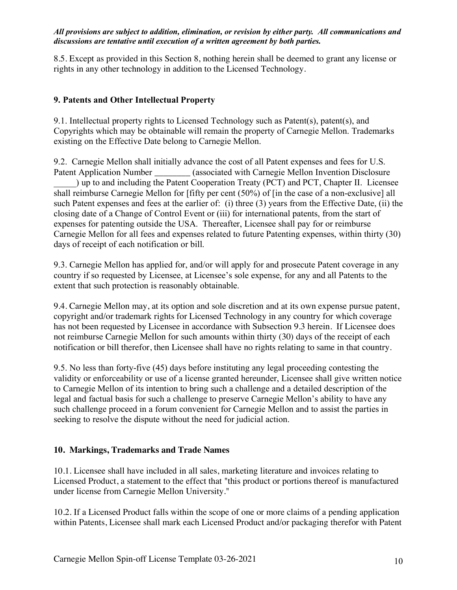8.5. Except as provided in this Section 8, nothing herein shall be deemed to grant any license or rights in any other technology in addition to the Licensed Technology.

# **9. Patents and Other Intellectual Property**

9.1. Intellectual property rights to Licensed Technology such as Patent(s), patent(s), and Copyrights which may be obtainable will remain the property of Carnegie Mellon. Trademarks existing on the Effective Date belong to Carnegie Mellon.

9.2. Carnegie Mellon shall initially advance the cost of all Patent expenses and fees for U.S. Patent Application Number \_\_\_\_\_\_\_\_ (associated with Carnegie Mellon Invention Disclosure \_\_\_\_\_) up to and including the Patent Cooperation Treaty (PCT) and PCT, Chapter II. Licensee shall reimburse Carnegie Mellon for [fifty per cent (50%) of [in the case of a non-exclusive] all such Patent expenses and fees at the earlier of: (i) three (3) years from the Effective Date, (ii) the closing date of a Change of Control Event or (iii) for international patents, from the start of expenses for patenting outside the USA. Thereafter, Licensee shall pay for or reimburse Carnegie Mellon for all fees and expenses related to future Patenting expenses, within thirty (30) days of receipt of each notification or bill.

9.3. Carnegie Mellon has applied for, and/or will apply for and prosecute Patent coverage in any country if so requested by Licensee, at Licensee's sole expense, for any and all Patents to the extent that such protection is reasonably obtainable.

9.4. Carnegie Mellon may, at its option and sole discretion and at its own expense pursue patent, copyright and/or trademark rights for Licensed Technology in any country for which coverage has not been requested by Licensee in accordance with Subsection 9.3 herein. If Licensee does not reimburse Carnegie Mellon for such amounts within thirty (30) days of the receipt of each notification or bill therefor, then Licensee shall have no rights relating to same in that country.

9.5. No less than forty-five (45) days before instituting any legal proceeding contesting the validity or enforceability or use of a license granted hereunder, Licensee shall give written notice to Carnegie Mellon of its intention to bring such a challenge and a detailed description of the legal and factual basis for such a challenge to preserve Carnegie Mellon's ability to have any such challenge proceed in a forum convenient for Carnegie Mellon and to assist the parties in seeking to resolve the dispute without the need for judicial action.

## **10. Markings, Trademarks and Trade Names**

10.1. Licensee shall have included in all sales, marketing literature and invoices relating to Licensed Product, a statement to the effect that "this product or portions thereof is manufactured under license from Carnegie Mellon University."

10.2. If a Licensed Product falls within the scope of one or more claims of a pending application within Patents, Licensee shall mark each Licensed Product and/or packaging therefor with Patent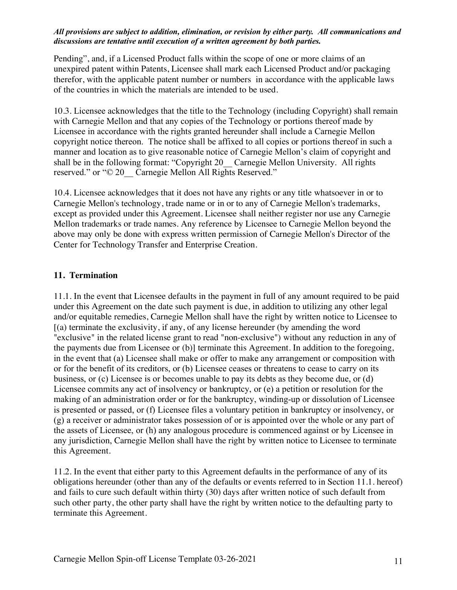Pending", and, if a Licensed Product falls within the scope of one or more claims of an unexpired patent within Patents, Licensee shall mark each Licensed Product and/or packaging therefor, with the applicable patent number or numbers in accordance with the applicable laws of the countries in which the materials are intended to be used.

10.3. Licensee acknowledges that the title to the Technology (including Copyright) shall remain with Carnegie Mellon and that any copies of the Technology or portions thereof made by Licensee in accordance with the rights granted hereunder shall include a Carnegie Mellon copyright notice thereon. The notice shall be affixed to all copies or portions thereof in such a manner and location as to give reasonable notice of Carnegie Mellon's claim of copyright and shall be in the following format: "Copyright 20 Carnegie Mellon University. All rights reserved." or "© 20 Carnegie Mellon All Rights Reserved."

10.4. Licensee acknowledges that it does not have any rights or any title whatsoever in or to Carnegie Mellon's technology, trade name or in or to any of Carnegie Mellon's trademarks, except as provided under this Agreement. Licensee shall neither register nor use any Carnegie Mellon trademarks or trade names. Any reference by Licensee to Carnegie Mellon beyond the above may only be done with express written permission of Carnegie Mellon's Director of the Center for Technology Transfer and Enterprise Creation.

## **11. Termination**

11.1. In the event that Licensee defaults in the payment in full of any amount required to be paid under this Agreement on the date such payment is due, in addition to utilizing any other legal and/or equitable remedies, Carnegie Mellon shall have the right by written notice to Licensee to [(a) terminate the exclusivity, if any, of any license hereunder (by amending the word "exclusive" in the related license grant to read "non-exclusive") without any reduction in any of the payments due from Licensee or (b)] terminate this Agreement. In addition to the foregoing, in the event that (a) Licensee shall make or offer to make any arrangement or composition with or for the benefit of its creditors, or (b) Licensee ceases or threatens to cease to carry on its business, or (c) Licensee is or becomes unable to pay its debts as they become due, or (d) Licensee commits any act of insolvency or bankruptcy, or (e) a petition or resolution for the making of an administration order or for the bankruptcy, winding-up or dissolution of Licensee is presented or passed, or (f) Licensee files a voluntary petition in bankruptcy or insolvency, or (g) a receiver or administrator takes possession of or is appointed over the whole or any part of the assets of Licensee, or (h) any analogous procedure is commenced against or by Licensee in any jurisdiction, Carnegie Mellon shall have the right by written notice to Licensee to terminate this Agreement.

11.2. In the event that either party to this Agreement defaults in the performance of any of its obligations hereunder (other than any of the defaults or events referred to in Section 11.1. hereof) and fails to cure such default within thirty (30) days after written notice of such default from such other party, the other party shall have the right by written notice to the defaulting party to terminate this Agreement.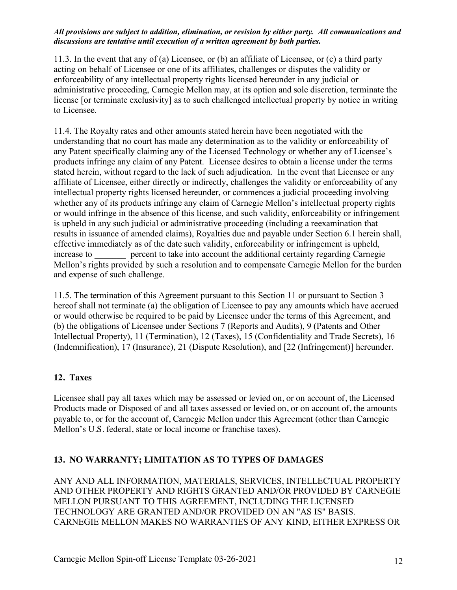11.3. In the event that any of (a) Licensee, or (b) an affiliate of Licensee, or (c) a third party acting on behalf of Licensee or one of its affiliates, challenges or disputes the validity or enforceability of any intellectual property rights licensed hereunder in any judicial or administrative proceeding, Carnegie Mellon may, at its option and sole discretion, terminate the license [or terminate exclusivity] as to such challenged intellectual property by notice in writing to Licensee.

11.4. The Royalty rates and other amounts stated herein have been negotiated with the understanding that no court has made any determination as to the validity or enforceability of any Patent specifically claiming any of the Licensed Technology or whether any of Licensee's products infringe any claim of any Patent. Licensee desires to obtain a license under the terms stated herein, without regard to the lack of such adjudication. In the event that Licensee or any affiliate of Licensee, either directly or indirectly, challenges the validity or enforceability of any intellectual property rights licensed hereunder, or commences a judicial proceeding involving whether any of its products infringe any claim of Carnegie Mellon's intellectual property rights or would infringe in the absence of this license, and such validity, enforceability or infringement is upheld in any such judicial or administrative proceeding (including a reexamination that results in issuance of amended claims), Royalties due and payable under Section 6.1 herein shall, effective immediately as of the date such validity, enforceability or infringement is upheld, increase to **percent** to take into account the additional certainty regarding Carnegie Mellon's rights provided by such a resolution and to compensate Carnegie Mellon for the burden and expense of such challenge.

11.5. The termination of this Agreement pursuant to this Section 11 or pursuant to Section 3 hereof shall not terminate (a) the obligation of Licensee to pay any amounts which have accrued or would otherwise be required to be paid by Licensee under the terms of this Agreement, and (b) the obligations of Licensee under Sections 7 (Reports and Audits), 9 (Patents and Other Intellectual Property), 11 (Termination), 12 (Taxes), 15 (Confidentiality and Trade Secrets), 16 (Indemnification), 17 (Insurance), 21 (Dispute Resolution), and [22 (Infringement)] hereunder.

## **12. Taxes**

Licensee shall pay all taxes which may be assessed or levied on, or on account of, the Licensed Products made or Disposed of and all taxes assessed or levied on, or on account of, the amounts payable to, or for the account of, Carnegie Mellon under this Agreement (other than Carnegie Mellon's U.S. federal, state or local income or franchise taxes).

## **13. NO WARRANTY; LIMITATION AS TO TYPES OF DAMAGES**

ANY AND ALL INFORMATION, MATERIALS, SERVICES, INTELLECTUAL PROPERTY AND OTHER PROPERTY AND RIGHTS GRANTED AND/OR PROVIDED BY CARNEGIE MELLON PURSUANT TO THIS AGREEMENT, INCLUDING THE LICENSED TECHNOLOGY ARE GRANTED AND/OR PROVIDED ON AN "AS IS" BASIS. CARNEGIE MELLON MAKES NO WARRANTIES OF ANY KIND, EITHER EXPRESS OR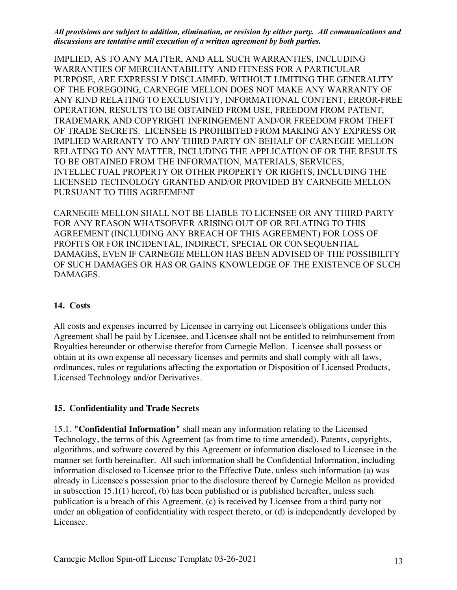IMPLIED, AS TO ANY MATTER, AND ALL SUCH WARRANTIES, INCLUDING WARRANTIES OF MERCHANTABILITY AND FITNESS FOR A PARTICULAR PURPOSE, ARE EXPRESSLY DISCLAIMED. WITHOUT LIMITING THE GENERALITY OF THE FOREGOING, CARNEGIE MELLON DOES NOT MAKE ANY WARRANTY OF ANY KIND RELATING TO EXCLUSIVITY, INFORMATIONAL CONTENT, ERROR-FREE OPERATION, RESULTS TO BE OBTAINED FROM USE, FREEDOM FROM PATENT, TRADEMARK AND COPYRIGHT INFRINGEMENT AND/OR FREEDOM FROM THEFT OF TRADE SECRETS. LICENSEE IS PROHIBITED FROM MAKING ANY EXPRESS OR IMPLIED WARRANTY TO ANY THIRD PARTY ON BEHALF OF CARNEGIE MELLON RELATING TO ANY MATTER, INCLUDING THE APPLICATION OF OR THE RESULTS TO BE OBTAINED FROM THE INFORMATION, MATERIALS, SERVICES, INTELLECTUAL PROPERTY OR OTHER PROPERTY OR RIGHTS, INCLUDING THE LICENSED TECHNOLOGY GRANTED AND/OR PROVIDED BY CARNEGIE MELLON PURSUANT TO THIS AGREEMENT

CARNEGIE MELLON SHALL NOT BE LIABLE TO LICENSEE OR ANY THIRD PARTY FOR ANY REASON WHATSOEVER ARISING OUT OF OR RELATING TO THIS AGREEMENT (INCLUDING ANY BREACH OF THIS AGREEMENT) FOR LOSS OF PROFITS OR FOR INCIDENTAL, INDIRECT, SPECIAL OR CONSEQUENTIAL DAMAGES, EVEN IF CARNEGIE MELLON HAS BEEN ADVISED OF THE POSSIBILITY OF SUCH DAMAGES OR HAS OR GAINS KNOWLEDGE OF THE EXISTENCE OF SUCH DAMAGES.

## **14. Costs**

All costs and expenses incurred by Licensee in carrying out Licensee's obligations under this Agreement shall be paid by Licensee, and Licensee shall not be entitled to reimbursement from Royalties hereunder or otherwise therefor from Carnegie Mellon. Licensee shall possess or obtain at its own expense all necessary licenses and permits and shall comply with all laws, ordinances, rules or regulations affecting the exportation or Disposition of Licensed Products, Licensed Technology and/or Derivatives.

## **15. Confidentiality and Trade Secrets**

15.1. **"Confidential Information"** shall mean any information relating to the Licensed Technology, the terms of this Agreement (as from time to time amended), Patents, copyrights, algorithms, and software covered by this Agreement or information disclosed to Licensee in the manner set forth hereinafter. All such information shall be Confidential Information, including information disclosed to Licensee prior to the Effective Date, unless such information (a) was already in Licensee's possession prior to the disclosure thereof by Carnegie Mellon as provided in subsection 15.1(1) hereof, (b) has been published or is published hereafter, unless such publication is a breach of this Agreement, (c) is received by Licensee from a third party not under an obligation of confidentiality with respect thereto, or (d) is independently developed by Licensee.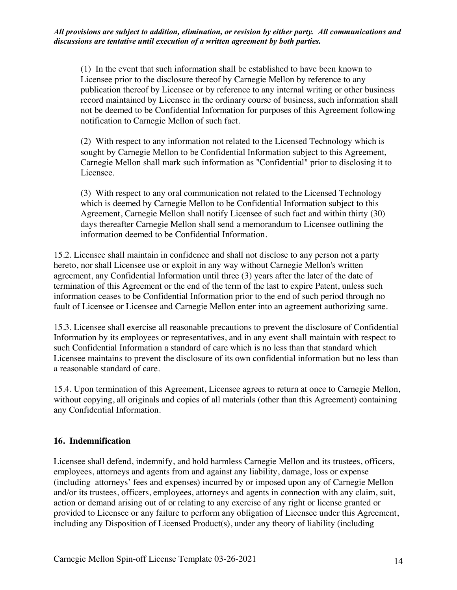(1) In the event that such information shall be established to have been known to Licensee prior to the disclosure thereof by Carnegie Mellon by reference to any publication thereof by Licensee or by reference to any internal writing or other business record maintained by Licensee in the ordinary course of business, such information shall not be deemed to be Confidential Information for purposes of this Agreement following notification to Carnegie Mellon of such fact.

(2) With respect to any information not related to the Licensed Technology which is sought by Carnegie Mellon to be Confidential Information subject to this Agreement, Carnegie Mellon shall mark such information as "Confidential" prior to disclosing it to Licensee.

(3) With respect to any oral communication not related to the Licensed Technology which is deemed by Carnegie Mellon to be Confidential Information subject to this Agreement, Carnegie Mellon shall notify Licensee of such fact and within thirty (30) days thereafter Carnegie Mellon shall send a memorandum to Licensee outlining the information deemed to be Confidential Information.

15.2. Licensee shall maintain in confidence and shall not disclose to any person not a party hereto, nor shall Licensee use or exploit in any way without Carnegie Mellon's written agreement, any Confidential Information until three (3) years after the later of the date of termination of this Agreement or the end of the term of the last to expire Patent, unless such information ceases to be Confidential Information prior to the end of such period through no fault of Licensee or Licensee and Carnegie Mellon enter into an agreement authorizing same.

15.3. Licensee shall exercise all reasonable precautions to prevent the disclosure of Confidential Information by its employees or representatives, and in any event shall maintain with respect to such Confidential Information a standard of care which is no less than that standard which Licensee maintains to prevent the disclosure of its own confidential information but no less than a reasonable standard of care.

15.4. Upon termination of this Agreement, Licensee agrees to return at once to Carnegie Mellon, without copying, all originals and copies of all materials (other than this Agreement) containing any Confidential Information.

## **16. Indemnification**

Licensee shall defend, indemnify, and hold harmless Carnegie Mellon and its trustees, officers, employees, attorneys and agents from and against any liability, damage, loss or expense (including attorneys' fees and expenses) incurred by or imposed upon any of Carnegie Mellon and/or its trustees, officers, employees, attorneys and agents in connection with any claim, suit, action or demand arising out of or relating to any exercise of any right or license granted or provided to Licensee or any failure to perform any obligation of Licensee under this Agreement, including any Disposition of Licensed Product(s), under any theory of liability (including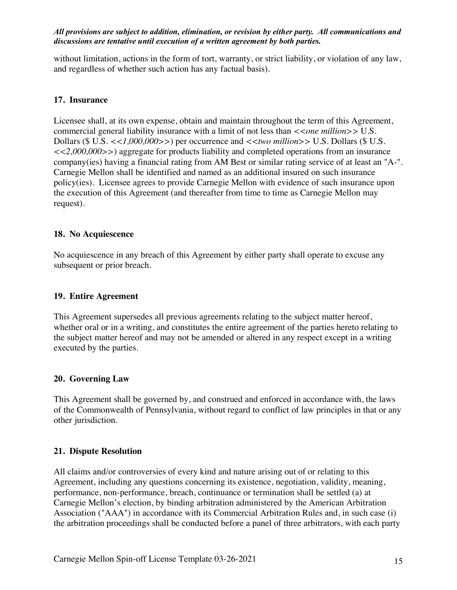without limitation, actions in the form of tort, warranty, or strict liability, or violation of any law, and regardless of whether such action has any factual basis).

# **17. Insurance**

Licensee shall, at its own expense, obtain and maintain throughout the term of this Agreement, commercial general liability insurance with a limit of not less than  $\langle \langle one \rangle$  million  $\rangle > \text{U.S.}$ Dollars (\$ U.S. *<<1,000,000>>*) per occurrence and *<<two million>>* U.S. Dollars (\$ U.S. *<<2,000,000>>*) aggregate for products liability and completed operations from an insurance company(ies) having a financial rating from AM Best or similar rating service of at least an "A-". Carnegie Mellon shall be identified and named as an additional insured on such insurance policy(ies). Licensee agrees to provide Carnegie Mellon with evidence of such insurance upon the execution of this Agreement (and thereafter from time to time as Carnegie Mellon may request).

## **18. No Acquiescence**

No acquiescence in any breach of this Agreement by either party shall operate to excuse any subsequent or prior breach.

## **19. Entire Agreement**

This Agreement supersedes all previous agreements relating to the subject matter hereof, whether oral or in a writing, and constitutes the entire agreement of the parties hereto relating to the subject matter hereof and may not be amended or altered in any respect except in a writing executed by the parties.

## **20. Governing Law**

This Agreement shall be governed by, and construed and enforced in accordance with, the laws of the Commonwealth of Pennsylvania, without regard to conflict of law principles in that or any other jurisdiction.

# **21. Dispute Resolution**

All claims and/or controversies of every kind and nature arising out of or relating to this Agreement, including any questions concerning its existence, negotiation, validity, meaning, performance, non-performance, breach, continuance or termination shall be settled (a) at Carnegie Mellon's election, by binding arbitration administered by the American Arbitration Association ("AAA") in accordance with its Commercial Arbitration Rules and, in such case (i) the arbitration proceedings shall be conducted before a panel of three arbitrators, with each party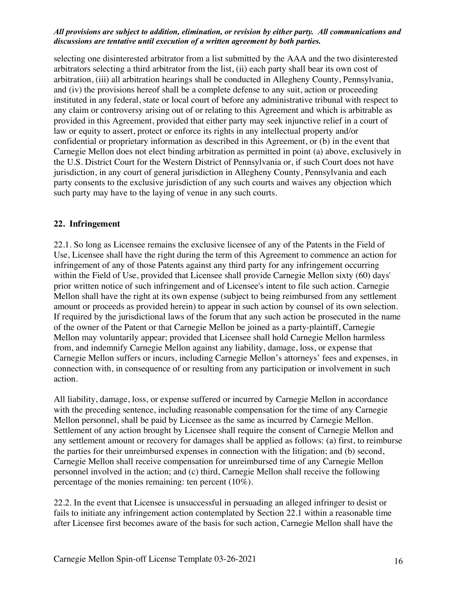selecting one disinterested arbitrator from a list submitted by the AAA and the two disinterested arbitrators selecting a third arbitrator from the list, (ii) each party shall bear its own cost of arbitration, (iii) all arbitration hearings shall be conducted in Allegheny County, Pennsylvania, and (iv) the provisions hereof shall be a complete defense to any suit, action or proceeding instituted in any federal, state or local court of before any administrative tribunal with respect to any claim or controversy arising out of or relating to this Agreement and which is arbitrable as provided in this Agreement, provided that either party may seek injunctive relief in a court of law or equity to assert, protect or enforce its rights in any intellectual property and/or confidential or proprietary information as described in this Agreement, or (b) in the event that Carnegie Mellon does not elect binding arbitration as permitted in point (a) above, exclusively in the U.S. District Court for the Western District of Pennsylvania or, if such Court does not have jurisdiction, in any court of general jurisdiction in Allegheny County, Pennsylvania and each party consents to the exclusive jurisdiction of any such courts and waives any objection which such party may have to the laying of venue in any such courts.

## **22. Infringement**

22.1. So long as Licensee remains the exclusive licensee of any of the Patents in the Field of Use, Licensee shall have the right during the term of this Agreement to commence an action for infringement of any of those Patents against any third party for any infringement occurring within the Field of Use, provided that Licensee shall provide Carnegie Mellon sixty (60) days' prior written notice of such infringement and of Licensee's intent to file such action. Carnegie Mellon shall have the right at its own expense (subject to being reimbursed from any settlement amount or proceeds as provided herein) to appear in such action by counsel of its own selection. If required by the jurisdictional laws of the forum that any such action be prosecuted in the name of the owner of the Patent or that Carnegie Mellon be joined as a party-plaintiff, Carnegie Mellon may voluntarily appear; provided that Licensee shall hold Carnegie Mellon harmless from, and indemnify Carnegie Mellon against any liability, damage, loss, or expense that Carnegie Mellon suffers or incurs, including Carnegie Mellon's attorneys' fees and expenses, in connection with, in consequence of or resulting from any participation or involvement in such action.

All liability, damage, loss, or expense suffered or incurred by Carnegie Mellon in accordance with the preceding sentence, including reasonable compensation for the time of any Carnegie Mellon personnel, shall be paid by Licensee as the same as incurred by Carnegie Mellon. Settlement of any action brought by Licensee shall require the consent of Carnegie Mellon and any settlement amount or recovery for damages shall be applied as follows: (a) first, to reimburse the parties for their unreimbursed expenses in connection with the litigation; and (b) second, Carnegie Mellon shall receive compensation for unreimbursed time of any Carnegie Mellon personnel involved in the action; and (c) third, Carnegie Mellon shall receive the following percentage of the monies remaining: ten percent (10%).

22.2. In the event that Licensee is unsuccessful in persuading an alleged infringer to desist or fails to initiate any infringement action contemplated by Section 22.1 within a reasonable time after Licensee first becomes aware of the basis for such action, Carnegie Mellon shall have the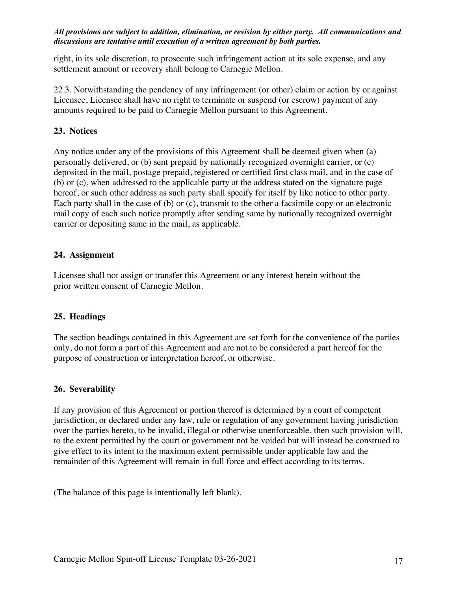right, in its sole discretion, to prosecute such infringement action at its sole expense, and any settlement amount or recovery shall belong to Carnegie Mellon.

22.3. Notwithstanding the pendency of any infringement (or other) claim or action by or against Licensee, Licensee shall have no right to terminate or suspend (or escrow) payment of any amounts required to be paid to Carnegie Mellon pursuant to this Agreement.

## **23. Notices**

Any notice under any of the provisions of this Agreement shall be deemed given when (a) personally delivered, or (b) sent prepaid by nationally recognized overnight carrier, or (c) deposited in the mail, postage prepaid, registered or certified first class mail, and in the case of (b) or (c), when addressed to the applicable party at the address stated on the signature page hereof, or such other address as such party shall specify for itself by like notice to other party. Each party shall in the case of (b) or (c), transmit to the other a facsimile copy or an electronic mail copy of each such notice promptly after sending same by nationally recognized overnight carrier or depositing same in the mail, as applicable.

## **24. Assignment**

Licensee shall not assign or transfer this Agreement or any interest herein without the prior written consent of Carnegie Mellon.

### **25. Headings**

The section headings contained in this Agreement are set forth for the convenience of the parties only, do not form a part of this Agreement and are not to be considered a part hereof for the purpose of construction or interpretation hereof, or otherwise.

### **26. Severability**

If any provision of this Agreement or portion thereof is determined by a court of competent jurisdiction, or declared under any law, rule or regulation of any government having jurisdiction over the parties hereto, to be invalid, illegal or otherwise unenforceable, then such provision will, to the extent permitted by the court or government not be voided but will instead be construed to give effect to its intent to the maximum extent permissible under applicable law and the remainder of this Agreement will remain in full force and effect according to its terms.

(The balance of this page is intentionally left blank).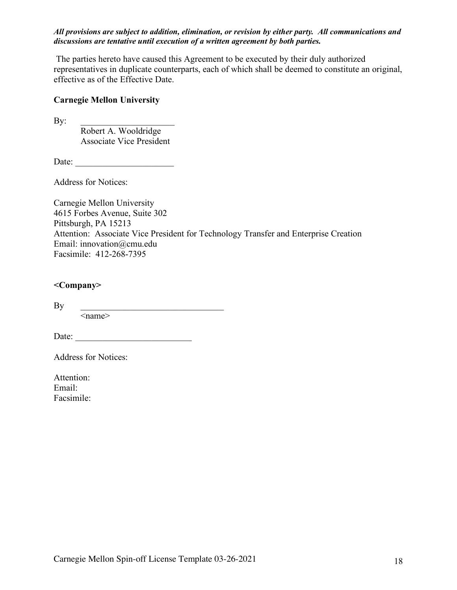The parties hereto have caused this Agreement to be executed by their duly authorized representatives in duplicate counterparts, each of which shall be deemed to constitute an original, effective as of the Effective Date.

## **Carnegie Mellon University**

 $\mathbf{By:}$ 

Robert A. Wooldridge Associate Vice President

Date: \_\_\_\_\_\_\_\_\_\_\_\_\_\_\_\_\_\_\_\_\_\_

Address for Notices:

Carnegie Mellon University 4615 Forbes Avenue, Suite 302 Pittsburgh, PA 15213 Attention: Associate Vice President for Technology Transfer and Enterprise Creation Email: innovation@cmu.edu Facsimile: 412-268-7395

## **<Company>**

By \_\_\_\_\_\_\_\_\_\_\_\_\_\_\_\_\_\_\_\_\_\_\_\_\_\_\_\_\_\_\_\_  $\le$ name $>$ 

Date:

Address for Notices:

Attention: Email: Facsimile: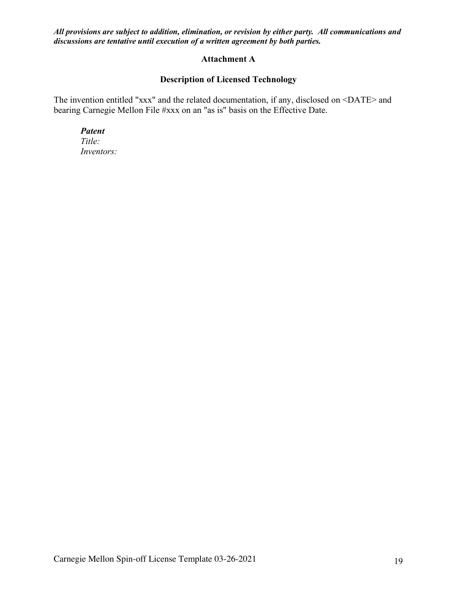## **Attachment A**

# **Description of Licensed Technology**

The invention entitled "xxx" and the related documentation, if any, disclosed on <DATE> and bearing Carnegie Mellon File #xxx on an "as is" basis on the Effective Date.

*Patent Title: Inventors:*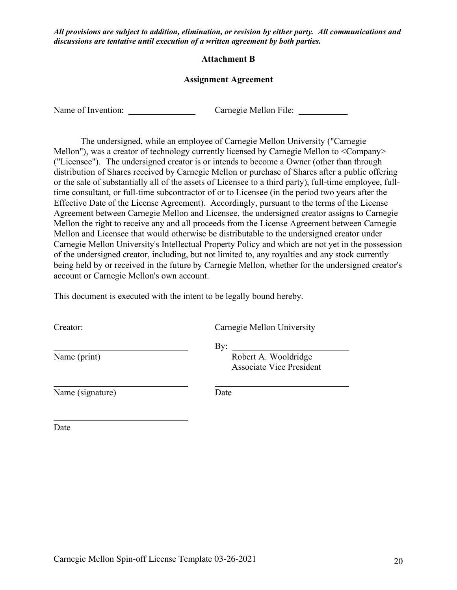### **Attachment B**

## **Assignment Agreement**

Name of Invention: \_\_\_\_\_\_\_\_\_\_\_\_\_\_\_ Carnegie Mellon File: \_\_\_\_\_\_\_\_\_\_\_

The undersigned, while an employee of Carnegie Mellon University ("Carnegie Mellon"), was a creator of technology currently licensed by Carnegie Mellon to <Company> ("Licensee"). The undersigned creator is or intends to become a Owner (other than through distribution of Shares received by Carnegie Mellon or purchase of Shares after a public offering or the sale of substantially all of the assets of Licensee to a third party), full-time employee, fulltime consultant, or full-time subcontractor of or to Licensee (in the period two years after the Effective Date of the License Agreement). Accordingly, pursuant to the terms of the License Agreement between Carnegie Mellon and Licensee, the undersigned creator assigns to Carnegie Mellon the right to receive any and all proceeds from the License Agreement between Carnegie Mellon and Licensee that would otherwise be distributable to the undersigned creator under Carnegie Mellon University's Intellectual Property Policy and which are not yet in the possession of the undersigned creator, including, but not limited to, any royalties and any stock currently being held by or received in the future by Carnegie Mellon, whether for the undersigned creator's account or Carnegie Mellon's own account.

This document is executed with the intent to be legally bound hereby.

| Creator:         | Carnegie Mellon University                                     |
|------------------|----------------------------------------------------------------|
| Name (print)     | By:<br>Robert A. Wooldridge<br><b>Associate Vice President</b> |
| Name (signature) | Date                                                           |

Date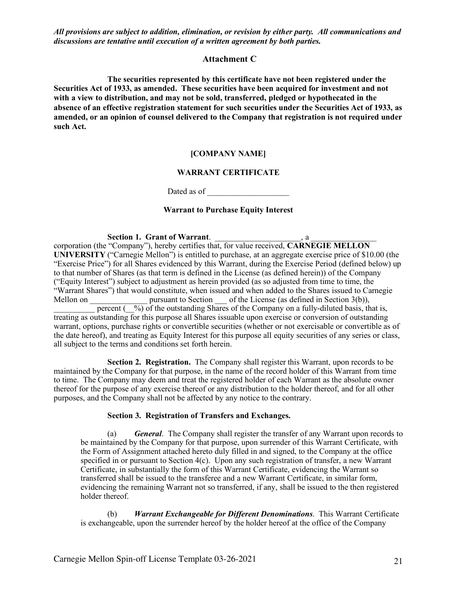#### **Attachment C**

**The securities represented by this certificate have not been registered under the Securities Act of 1933, as amended. These securities have been acquired for investment and not with a view to distribution, and may not be sold, transferred, pledged or hypothecated in the absence of an effective registration statement for such securities under the Securities Act of 1933, as amended, or an opinion of counsel delivered to the Company that registration is not required under such Act.**

#### **[COMPANY NAME]**

#### **WARRANT CERTIFICATE**

Dated as of

#### **Warrant to Purchase Equity Interest**

#### Section 1. Grant of Warrant.

corporation (the "Company"), hereby certifies that, for value received, **CARNEGIE MELLON UNIVERSITY** ("Carnegie Mellon") is entitled to purchase, at an aggregate exercise price of \$10.00 (the "Exercise Price") for all Shares evidenced by this Warrant, during the Exercise Period (defined below) up to that number of Shares (as that term is defined in the License (as defined herein)) of the Company ("Equity Interest") subject to adjustment as herein provided (as so adjusted from time to time, the "Warrant Shares") that would constitute, when issued and when added to the Shares issued to Carnegie Mellon on pursuant to Section of the License (as defined in Section 3(b)), percent  $(\frac{\%}{\%})$  of the outstanding Shares of the Company on a fully-diluted basis, that is, treating as outstanding for this purpose all Shares issuable upon exercise or conversion of outstanding warrant, options, purchase rights or convertible securities (whether or not exercisable or convertible as of the date hereof), and treating as Equity Interest for this purpose all equity securities of any series or class, all subject to the terms and conditions set forth herein.

**Section 2. Registration.** The Company shall register this Warrant, upon records to be maintained by the Company for that purpose, in the name of the record holder of this Warrant from time to time. The Company may deem and treat the registered holder of each Warrant as the absolute owner thereof for the purpose of any exercise thereof or any distribution to the holder thereof, and for all other purposes, and the Company shall not be affected by any notice to the contrary.

#### **Section 3. Registration of Transfers and Exchanges.**

(a) *General*. The Company shall register the transfer of any Warrant upon records to be maintained by the Company for that purpose, upon surrender of this Warrant Certificate, with the Form of Assignment attached hereto duly filled in and signed, to the Company at the office specified in or pursuant to Section 4(c). Upon any such registration of transfer, a new Warrant Certificate, in substantially the form of this Warrant Certificate, evidencing the Warrant so transferred shall be issued to the transferee and a new Warrant Certificate, in similar form, evidencing the remaining Warrant not so transferred, if any, shall be issued to the then registered holder thereof.

(b) *Warrant Exchangeable for Different Denominations*. This Warrant Certificate is exchangeable, upon the surrender hereof by the holder hereof at the office of the Company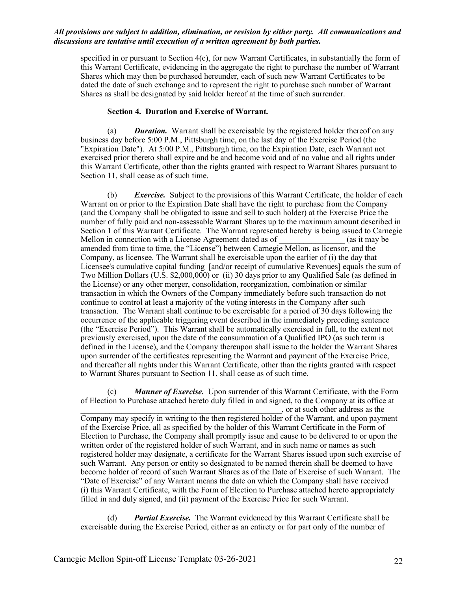specified in or pursuant to Section 4(c), for new Warrant Certificates, in substantially the form of this Warrant Certificate, evidencing in the aggregate the right to purchase the number of Warrant Shares which may then be purchased hereunder, each of such new Warrant Certificates to be dated the date of such exchange and to represent the right to purchase such number of Warrant Shares as shall be designated by said holder hereof at the time of such surrender.

#### **Section 4. Duration and Exercise of Warrant.**

(a) *Duration.* Warrant shall be exercisable by the registered holder thereof on any business day before 5:00 P.M., Pittsburgh time, on the last day of the Exercise Period (the "Expiration Date"). At 5:00 P.M., Pittsburgh time, on the Expiration Date, each Warrant not exercised prior thereto shall expire and be and become void and of no value and all rights under this Warrant Certificate, other than the rights granted with respect to Warrant Shares pursuant to Section 11, shall cease as of such time.

(b) *Exercise.* Subject to the provisions of this Warrant Certificate, the holder of each Warrant on or prior to the Expiration Date shall have the right to purchase from the Company (and the Company shall be obligated to issue and sell to such holder) at the Exercise Price the number of fully paid and non-assessable Warrant Shares up to the maximum amount described in Section 1 of this Warrant Certificate. The Warrant represented hereby is being issued to Carnegie Mellon in connection with a License Agreement dated as of  $\qquad \qquad$  (as it may be amended from time to time, the "License") between Carnegie Mellon, as licensor, and the Company, as licensee. The Warrant shall be exercisable upon the earlier of (i) the day that Licensee's cumulative capital funding [and/or receipt of cumulative Revenues] equals the sum of Two Million Dollars (U.S. \$2,000,000) or (ii) 30 days prior to any Qualified Sale (as defined in the License) or any other merger, consolidation, reorganization, combination or similar transaction in which the Owners of the Company immediately before such transaction do not continue to control at least a majority of the voting interests in the Company after such transaction. The Warrant shall continue to be exercisable for a period of 30 days following the occurrence of the applicable triggering event described in the immediately preceding sentence (the "Exercise Period"). This Warrant shall be automatically exercised in full, to the extent not previously exercised, upon the date of the consummation of a Qualified IPO (as such term is defined in the License), and the Company thereupon shall issue to the holder the Warrant Shares upon surrender of the certificates representing the Warrant and payment of the Exercise Price, and thereafter all rights under this Warrant Certificate, other than the rights granted with respect to Warrant Shares pursuant to Section 11, shall cease as of such time.

(c) *Manner of Exercise.* Upon surrender of this Warrant Certificate, with the Form of Election to Purchase attached hereto duly filled in and signed, to the Company at its office at \_\_\_\_\_\_\_\_\_\_\_\_\_\_\_\_\_\_\_\_\_\_\_\_\_\_\_\_\_\_\_\_\_\_\_\_\_\_\_\_\_\_\_\_\_\_\_\_\_, or at such other address as the

Company may specify in writing to the then registered holder of the Warrant, and upon payment of the Exercise Price, all as specified by the holder of this Warrant Certificate in the Form of Election to Purchase, the Company shall promptly issue and cause to be delivered to or upon the written order of the registered holder of such Warrant, and in such name or names as such registered holder may designate, a certificate for the Warrant Shares issued upon such exercise of such Warrant. Any person or entity so designated to be named therein shall be deemed to have become holder of record of such Warrant Shares as of the Date of Exercise of such Warrant. The "Date of Exercise" of any Warrant means the date on which the Company shall have received (i) this Warrant Certificate, with the Form of Election to Purchase attached hereto appropriately filled in and duly signed, and (ii) payment of the Exercise Price for such Warrant.

(d) *Partial Exercise.* The Warrant evidenced by this Warrant Certificate shall be exercisable during the Exercise Period, either as an entirety or for part only of the number of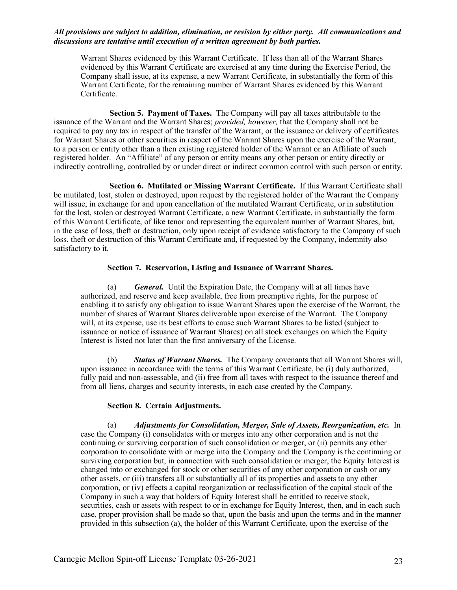Warrant Shares evidenced by this Warrant Certificate. If less than all of the Warrant Shares evidenced by this Warrant Certificate are exercised at any time during the Exercise Period, the Company shall issue, at its expense, a new Warrant Certificate, in substantially the form of this Warrant Certificate, for the remaining number of Warrant Shares evidenced by this Warrant Certificate.

**Section 5. Payment of Taxes.** The Company will pay all taxes attributable to the issuance of the Warrant and the Warrant Shares; *provided, however,* that the Company shall not be required to pay any tax in respect of the transfer of the Warrant, or the issuance or delivery of certificates for Warrant Shares or other securities in respect of the Warrant Shares upon the exercise of the Warrant, to a person or entity other than a then existing registered holder of the Warrant or an Affiliate of such registered holder. An "Affiliate" of any person or entity means any other person or entity directly or indirectly controlling, controlled by or under direct or indirect common control with such person or entity.

**Section 6. Mutilated or Missing Warrant Certificate.** If this Warrant Certificate shall be mutilated, lost, stolen or destroyed, upon request by the registered holder of the Warrant the Company will issue, in exchange for and upon cancellation of the mutilated Warrant Certificate, or in substitution for the lost, stolen or destroyed Warrant Certificate, a new Warrant Certificate, in substantially the form of this Warrant Certificate, of like tenor and representing the equivalent number of Warrant Shares, but, in the case of loss, theft or destruction, only upon receipt of evidence satisfactory to the Company of such loss, theft or destruction of this Warrant Certificate and, if requested by the Company, indemnity also satisfactory to it.

#### **Section 7. Reservation, Listing and Issuance of Warrant Shares.**

(a) *General.* Until the Expiration Date, the Company will at all times have authorized, and reserve and keep available, free from preemptive rights, for the purpose of enabling it to satisfy any obligation to issue Warrant Shares upon the exercise of the Warrant, the number of shares of Warrant Shares deliverable upon exercise of the Warrant. The Company will, at its expense, use its best efforts to cause such Warrant Shares to be listed (subject to issuance or notice of issuance of Warrant Shares) on all stock exchanges on which the Equity Interest is listed not later than the first anniversary of the License.

(b) *Status of Warrant Shares.* The Company covenants that all Warrant Shares will, upon issuance in accordance with the terms of this Warrant Certificate, be (i) duly authorized, fully paid and non-assessable, and (ii) free from all taxes with respect to the issuance thereof and from all liens, charges and security interests, in each case created by the Company.

#### **Section 8. Certain Adjustments.**

(a) *Adjustments for Consolidation, Merger, Sale of Assets, Reorganization, etc.* In case the Company (i) consolidates with or merges into any other corporation and is not the continuing or surviving corporation of such consolidation or merger, or (ii) permits any other corporation to consolidate with or merge into the Company and the Company is the continuing or surviving corporation but, in connection with such consolidation or merger, the Equity Interest is changed into or exchanged for stock or other securities of any other corporation or cash or any other assets, or (iii) transfers all or substantially all of its properties and assets to any other corporation, or (iv) effects a capital reorganization or reclassification of the capital stock of the Company in such a way that holders of Equity Interest shall be entitled to receive stock, securities, cash or assets with respect to or in exchange for Equity Interest, then, and in each such case, proper provision shall be made so that, upon the basis and upon the terms and in the manner provided in this subsection (a), the holder of this Warrant Certificate, upon the exercise of the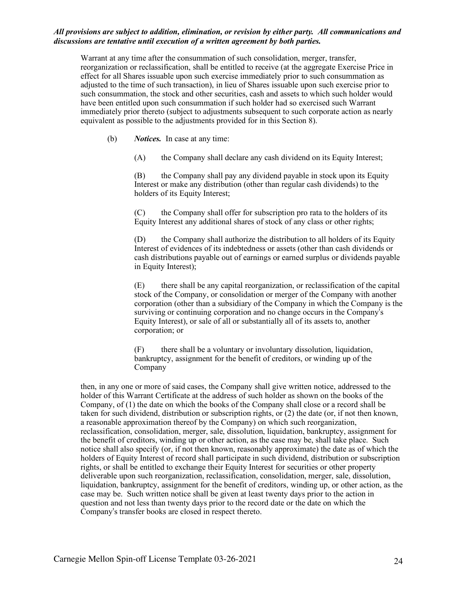Warrant at any time after the consummation of such consolidation, merger, transfer, reorganization or reclassification, shall be entitled to receive (at the aggregate Exercise Price in effect for all Shares issuable upon such exercise immediately prior to such consummation as adjusted to the time of such transaction), in lieu of Shares issuable upon such exercise prior to such consummation, the stock and other securities, cash and assets to which such holder would have been entitled upon such consummation if such holder had so exercised such Warrant immediately prior thereto (subject to adjustments subsequent to such corporate action as nearly equivalent as possible to the adjustments provided for in this Section 8).

(b) *Notices.* In case at any time:

(A) the Company shall declare any cash dividend on its Equity Interest;

(B) the Company shall pay any dividend payable in stock upon its Equity Interest or make any distribution (other than regular cash dividends) to the holders of its Equity Interest;

(C) the Company shall offer for subscription pro rata to the holders of its Equity Interest any additional shares of stock of any class or other rights;

(D) the Company shall authorize the distribution to all holders of its Equity Interest of evidences of its indebtedness or assets (other than cash dividends or cash distributions payable out of earnings or earned surplus or dividends payable in Equity Interest);

(E) there shall be any capital reorganization, or reclassification of the capital stock of the Company, or consolidation or merger of the Company with another corporation (other than a subsidiary of the Company in which the Company is the surviving or continuing corporation and no change occurs in the Company's Equity Interest), or sale of all or substantially all of its assets to, another corporation; or

(F) there shall be a voluntary or involuntary dissolution, liquidation, bankruptcy, assignment for the benefit of creditors, or winding up of the Company

then, in any one or more of said cases, the Company shall give written notice, addressed to the holder of this Warrant Certificate at the address of such holder as shown on the books of the Company, of (1) the date on which the books of the Company shall close or a record shall be taken for such dividend, distribution or subscription rights, or (2) the date (or, if not then known, a reasonable approximation thereof by the Company) on which such reorganization, reclassification, consolidation, merger, sale, dissolution, liquidation, bankruptcy, assignment for the benefit of creditors, winding up or other action, as the case may be, shall take place. Such notice shall also specify (or, if not then known, reasonably approximate) the date as of which the holders of Equity Interest of record shall participate in such dividend, distribution or subscription rights, or shall be entitled to exchange their Equity Interest for securities or other property deliverable upon such reorganization, reclassification, consolidation, merger, sale, dissolution, liquidation, bankruptcy, assignment for the benefit of creditors, winding up, or other action, as the case may be. Such written notice shall be given at least twenty days prior to the action in question and not less than twenty days prior to the record date or the date on which the Company's transfer books are closed in respect thereto.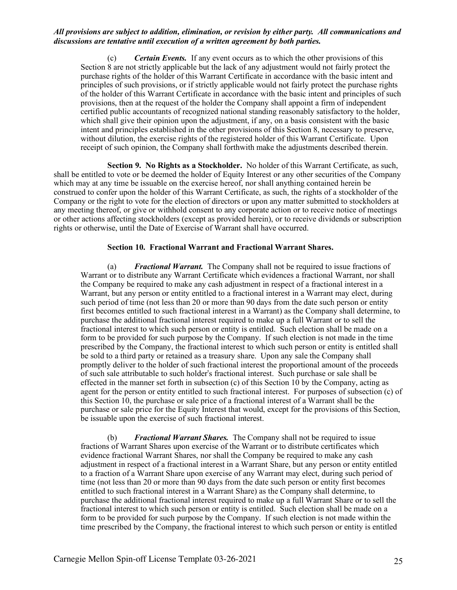(c) *Certain Events.* If any event occurs as to which the other provisions of this Section 8 are not strictly applicable but the lack of any adjustment would not fairly protect the purchase rights of the holder of this Warrant Certificate in accordance with the basic intent and principles of such provisions, or if strictly applicable would not fairly protect the purchase rights of the holder of this Warrant Certificate in accordance with the basic intent and principles of such provisions, then at the request of the holder the Company shall appoint a firm of independent certified public accountants of recognized national standing reasonably satisfactory to the holder, which shall give their opinion upon the adjustment, if any, on a basis consistent with the basic intent and principles established in the other provisions of this Section 8, necessary to preserve, without dilution, the exercise rights of the registered holder of this Warrant Certificate. Upon receipt of such opinion, the Company shall forthwith make the adjustments described therein.

**Section 9. No Rights as a Stockholder.** No holder of this Warrant Certificate, as such, shall be entitled to vote or be deemed the holder of Equity Interest or any other securities of the Company which may at any time be issuable on the exercise hereof, nor shall anything contained herein be construed to confer upon the holder of this Warrant Certificate, as such, the rights of a stockholder of the Company or the right to vote for the election of directors or upon any matter submitted to stockholders at any meeting thereof, or give or withhold consent to any corporate action or to receive notice of meetings or other actions affecting stockholders (except as provided herein), or to receive dividends or subscription rights or otherwise, until the Date of Exercise of Warrant shall have occurred.

#### **Section 10. Fractional Warrant and Fractional Warrant Shares.**

(a) *Fractional Warrant.* The Company shall not be required to issue fractions of Warrant or to distribute any Warrant Certificate which evidences a fractional Warrant, nor shall the Company be required to make any cash adjustment in respect of a fractional interest in a Warrant, but any person or entity entitled to a fractional interest in a Warrant may elect, during such period of time (not less than 20 or more than 90 days from the date such person or entity first becomes entitled to such fractional interest in a Warrant) as the Company shall determine, to purchase the additional fractional interest required to make up a full Warrant or to sell the fractional interest to which such person or entity is entitled. Such election shall be made on a form to be provided for such purpose by the Company. If such election is not made in the time prescribed by the Company, the fractional interest to which such person or entity is entitled shall be sold to a third party or retained as a treasury share. Upon any sale the Company shall promptly deliver to the holder of such fractional interest the proportional amount of the proceeds of such sale attributable to such holder's fractional interest. Such purchase or sale shall be effected in the manner set forth in subsection (c) of this Section 10 by the Company, acting as agent for the person or entity entitled to such fractional interest. For purposes of subsection (c) of this Section 10, the purchase or sale price of a fractional interest of a Warrant shall be the purchase or sale price for the Equity Interest that would, except for the provisions of this Section, be issuable upon the exercise of such fractional interest.

(b) *Fractional Warrant Shares.* The Company shall not be required to issue fractions of Warrant Shares upon exercise of the Warrant or to distribute certificates which evidence fractional Warrant Shares, nor shall the Company be required to make any cash adjustment in respect of a fractional interest in a Warrant Share, but any person or entity entitled to a fraction of a Warrant Share upon exercise of any Warrant may elect, during such period of time (not less than 20 or more than 90 days from the date such person or entity first becomes entitled to such fractional interest in a Warrant Share) as the Company shall determine, to purchase the additional fractional interest required to make up a full Warrant Share or to sell the fractional interest to which such person or entity is entitled. Such election shall be made on a form to be provided for such purpose by the Company. If such election is not made within the time prescribed by the Company, the fractional interest to which such person or entity is entitled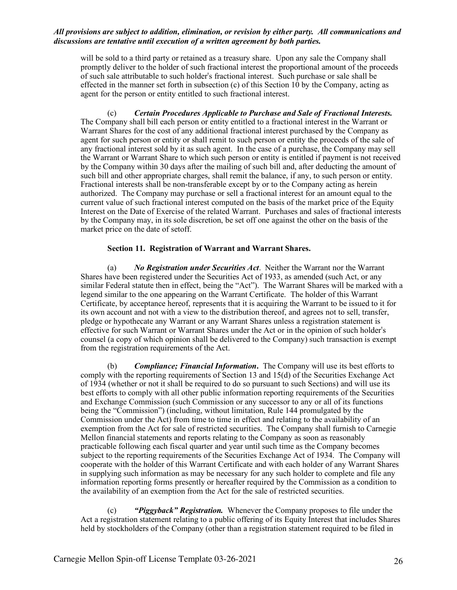will be sold to a third party or retained as a treasury share. Upon any sale the Company shall promptly deliver to the holder of such fractional interest the proportional amount of the proceeds of such sale attributable to such holder's fractional interest. Such purchase or sale shall be effected in the manner set forth in subsection  $(c)$  of this Section 10 by the Company, acting as agent for the person or entity entitled to such fractional interest.

(c) *Certain Procedures Applicable to Purchase and Sale of Fractional Interests.* The Company shall bill each person or entity entitled to a fractional interest in the Warrant or Warrant Shares for the cost of any additional fractional interest purchased by the Company as agent for such person or entity or shall remit to such person or entity the proceeds of the sale of any fractional interest sold by it as such agent. In the case of a purchase, the Company may sell the Warrant or Warrant Share to which such person or entity is entitled if payment is not received by the Company within 30 days after the mailing of such bill and, after deducting the amount of such bill and other appropriate charges, shall remit the balance, if any, to such person or entity. Fractional interests shall be non-transferable except by or to the Company acting as herein authorized. The Company may purchase or sell a fractional interest for an amount equal to the current value of such fractional interest computed on the basis of the market price of the Equity Interest on the Date of Exercise of the related Warrant. Purchases and sales of fractional interests by the Company may, in its sole discretion, be set off one against the other on the basis of the market price on the date of setoff.

#### **Section 11. Registration of Warrant and Warrant Shares.**

(a) *No Registration under Securities Act*. Neither the Warrant nor the Warrant Shares have been registered under the Securities Act of 1933, as amended (such Act, or any similar Federal statute then in effect, being the "Act"). The Warrant Shares will be marked with a legend similar to the one appearing on the Warrant Certificate. The holder of this Warrant Certificate, by acceptance hereof, represents that it is acquiring the Warrant to be issued to it for its own account and not with a view to the distribution thereof, and agrees not to sell, transfer, pledge or hypothecate any Warrant or any Warrant Shares unless a registration statement is effective for such Warrant or Warrant Shares under the Act or in the opinion of such holder's counsel (a copy of which opinion shall be delivered to the Company) such transaction is exempt from the registration requirements of the Act.

(b) *Compliance; Financial Information***.** The Company will use its best efforts to comply with the reporting requirements of Section 13 and 15(d) of the Securities Exchange Act of 1934 (whether or not it shall be required to do so pursuant to such Sections) and will use its best efforts to comply with all other public information reporting requirements of the Securities and Exchange Commission (such Commission or any successor to any or all of its functions being the "Commission") (including, without limitation, Rule 144 promulgated by the Commission under the Act) from time to time in effect and relating to the availability of an exemption from the Act for sale of restricted securities. The Company shall furnish to Carnegie Mellon financial statements and reports relating to the Company as soon as reasonably practicable following each fiscal quarter and year until such time as the Company becomes subject to the reporting requirements of the Securities Exchange Act of 1934. The Company will cooperate with the holder of this Warrant Certificate and with each holder of any Warrant Shares in supplying such information as may be necessary for any such holder to complete and file any information reporting forms presently or hereafter required by the Commission as a condition to the availability of an exemption from the Act for the sale of restricted securities.

(c) *"Piggyback" Registration.* Whenever the Company proposes to file under the Act a registration statement relating to a public offering of its Equity Interest that includes Shares held by stockholders of the Company (other than a registration statement required to be filed in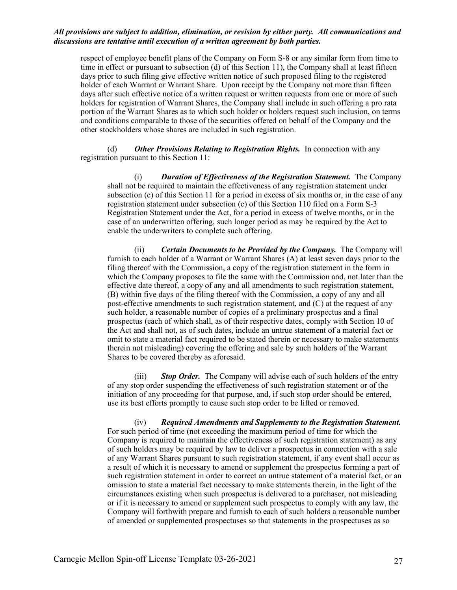respect of employee benefit plans of the Company on Form S-8 or any similar form from time to time in effect or pursuant to subsection (d) of this Section 11), the Company shall at least fifteen days prior to such filing give effective written notice of such proposed filing to the registered holder of each Warrant or Warrant Share. Upon receipt by the Company not more than fifteen days after such effective notice of a written request or written requests from one or more of such holders for registration of Warrant Shares, the Company shall include in such offering a pro rata portion of the Warrant Shares as to which such holder or holders request such inclusion, on terms and conditions comparable to those of the securities offered on behalf of the Company and the other stockholders whose shares are included in such registration.

(d) *Other Provisions Relating to Registration Rights.* In connection with any registration pursuant to this Section 11:

(i) *Duration of Effectiveness of the Registration Statement.* The Company shall not be required to maintain the effectiveness of any registration statement under subsection (c) of this Section 11 for a period in excess of six months or, in the case of any registration statement under subsection (c) of this Section 110 filed on a Form S-3 Registration Statement under the Act, for a period in excess of twelve months, or in the case of an underwritten offering, such longer period as may be required by the Act to enable the underwriters to complete such offering.

(ii) *Certain Documents to be Provided by the Company.* The Company will furnish to each holder of a Warrant or Warrant Shares (A) at least seven days prior to the filing thereof with the Commission, a copy of the registration statement in the form in which the Company proposes to file the same with the Commission and, not later than the effective date thereof, a copy of any and all amendments to such registration statement, (B) within five days of the filing thereof with the Commission, a copy of any and all post-effective amendments to such registration statement, and (C) at the request of any such holder, a reasonable number of copies of a preliminary prospectus and a final prospectus (each of which shall, as of their respective dates, comply with Section 10 of the Act and shall not, as of such dates, include an untrue statement of a material fact or omit to state a material fact required to be stated therein or necessary to make statements therein not misleading) covering the offering and sale by such holders of the Warrant Shares to be covered thereby as aforesaid.

(iii) *Stop Order.* The Company will advise each of such holders of the entry of any stop order suspending the effectiveness of such registration statement or of the initiation of any proceeding for that purpose, and, if such stop order should be entered, use its best efforts promptly to cause such stop order to be lifted or removed.

(iv) *Required Amendments and Supplements to the Registration Statement.* For such period of time (not exceeding the maximum period of time for which the Company is required to maintain the effectiveness of such registration statement) as any of such holders may be required by law to deliver a prospectus in connection with a sale of any Warrant Shares pursuant to such registration statement, if any event shall occur as a result of which it is necessary to amend or supplement the prospectus forming a part of such registration statement in order to correct an untrue statement of a material fact, or an omission to state a material fact necessary to make statements therein, in the light of the circumstances existing when such prospectus is delivered to a purchaser, not misleading or if it is necessary to amend or supplement such prospectus to comply with any law, the Company will forthwith prepare and furnish to each of such holders a reasonable number of amended or supplemented prospectuses so that statements in the prospectuses as so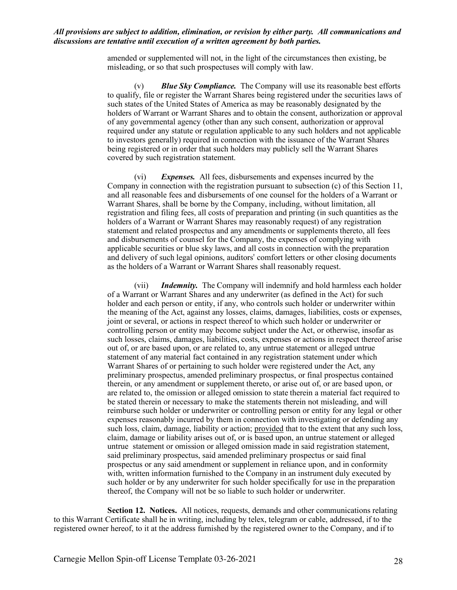amended or supplemented will not, in the light of the circumstances then existing, be misleading, or so that such prospectuses will comply with law.

(v) *Blue Sky Compliance.* The Company will use its reasonable best efforts to qualify, file or register the Warrant Shares being registered under the securities laws of such states of the United States of America as may be reasonably designated by the holders of Warrant or Warrant Shares and to obtain the consent, authorization or approval of any governmental agency (other than any such consent, authorization or approval required under any statute or regulation applicable to any such holders and not applicable to investors generally) required in connection with the issuance of the Warrant Shares being registered or in order that such holders may publicly sell the Warrant Shares covered by such registration statement.

(vi) *Expenses.* All fees, disbursements and expenses incurred by the Company in connection with the registration pursuant to subsection (c) of this Section 11, and all reasonable fees and disbursements of one counsel for the holders of a Warrant or Warrant Shares, shall be borne by the Company, including, without limitation, all registration and filing fees, all costs of preparation and printing (in such quantities as the holders of a Warrant or Warrant Shares may reasonably request) of any registration statement and related prospectus and any amendments or supplements thereto, all fees and disbursements of counsel for the Company, the expenses of complying with applicable securities or blue sky laws, and all costs in connection with the preparation and delivery of such legal opinions, auditors' comfort letters or other closing documents as the holders of a Warrant or Warrant Shares shall reasonably request.

(vii) *Indemnity.* The Company will indemnify and hold harmless each holder of a Warrant or Warrant Shares and any underwriter (as defined in the Act) for such holder and each person or entity, if any, who controls such holder or underwriter within the meaning of the Act, against any losses, claims, damages, liabilities, costs or expenses, joint or several, or actions in respect thereof to which such holder or underwriter or controlling person or entity may become subject under the Act, or otherwise, insofar as such losses, claims, damages, liabilities, costs, expenses or actions in respect thereof arise out of, or are based upon, or are related to, any untrue statement or alleged untrue statement of any material fact contained in any registration statement under which Warrant Shares of or pertaining to such holder were registered under the Act, any preliminary prospectus, amended preliminary prospectus, or final prospectus contained therein, or any amendment or supplement thereto, or arise out of, or are based upon, or are related to, the omission or alleged omission to state therein a material fact required to be stated therein or necessary to make the statements therein not misleading, and will reimburse such holder or underwriter or controlling person or entity for any legal or other expenses reasonably incurred by them in connection with investigating or defending any such loss, claim, damage, liability or action; provided that to the extent that any such loss, claim, damage or liability arises out of, or is based upon, an untrue statement or alleged untrue statement or omission or alleged omission made in said registration statement, said preliminary prospectus, said amended preliminary prospectus or said final prospectus or any said amendment or supplement in reliance upon, and in conformity with, written information furnished to the Company in an instrument duly executed by such holder or by any underwriter for such holder specifically for use in the preparation thereof, the Company will not be so liable to such holder or underwriter.

**Section 12. Notices.** All notices, requests, demands and other communications relating to this Warrant Certificate shall he in writing, including by telex, telegram or cable, addressed, if to the registered owner hereof, to it at the address furnished by the registered owner to the Company, and if to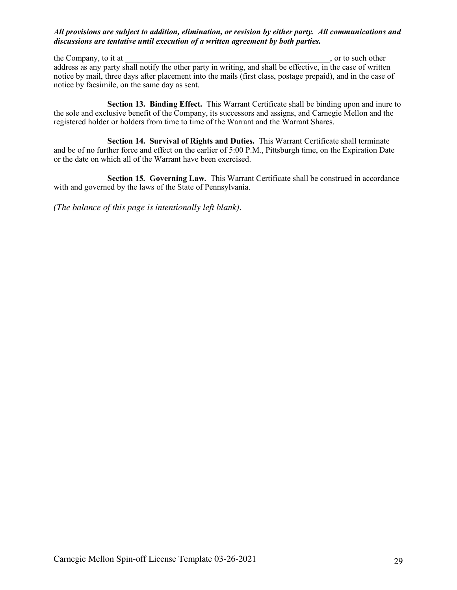the Company, to it at  $\Box$ , or to such other address as any party shall notify the other party in writing, and shall be effective, in the case of written notice by mail, three days after placement into the mails (first class, postage prepaid), and in the case of notice by facsimile, on the same day as sent.

**Section 13. Binding Effect.** This Warrant Certificate shall be binding upon and inure to the sole and exclusive benefit of the Company, its successors and assigns, and Carnegie Mellon and the registered holder or holders from time to time of the Warrant and the Warrant Shares.

**Section 14. Survival of Rights and Duties.** This Warrant Certificate shall terminate and be of no further force and effect on the earlier of 5:00 P.M., Pittsburgh time, on the Expiration Date or the date on which all of the Warrant have been exercised.

**Section 15. Governing Law.** This Warrant Certificate shall be construed in accordance with and governed by the laws of the State of Pennsylvania.

*(The balance of this page is intentionally left blank).*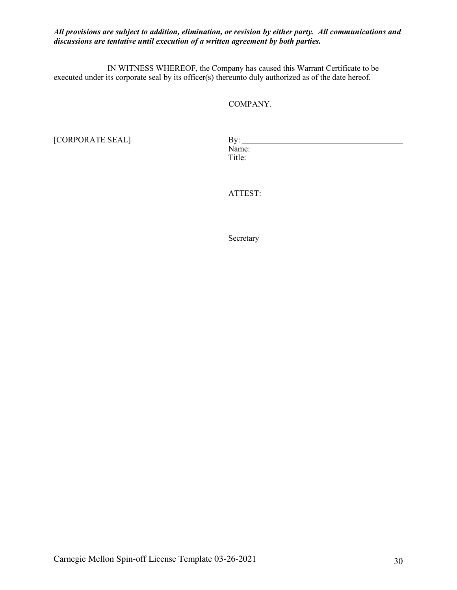IN WITNESS WHEREOF, the Company has caused this Warrant Certificate to be executed under its corporate seal by its officer(s) thereunto duly authorized as of the date hereof.

COMPANY.

[CORPORATE SEAL] By: Name: Title:

ATTEST:

**Secretary**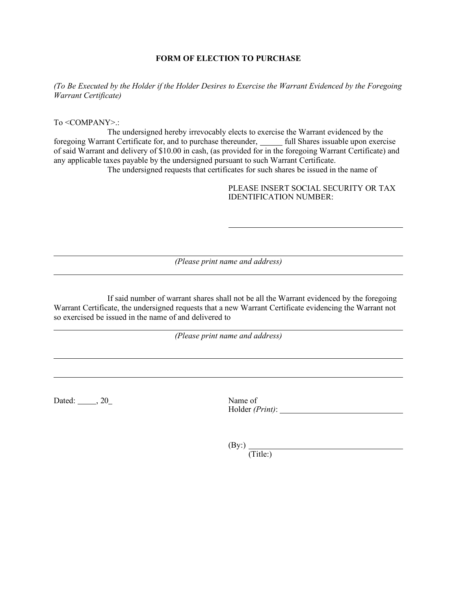#### **FORM OF ELECTION TO PURCHASE**

*(To Be Executed by the Holder if the Holder Desires to Exercise the Warrant Evidenced by the Foregoing Warrant Certificate)*

To <COMPANY>.:

The undersigned hereby irrevocably elects to exercise the Warrant evidenced by the foregoing Warrant Certificate for, and to purchase thereunder, full Shares issuable upon exercise of said Warrant and delivery of \$10.00 in cash, (as provided for in the foregoing Warrant Certificate) and any applicable taxes payable by the undersigned pursuant to such Warrant Certificate. The undersigned requests that certificates for such shares be issued in the name of

> PLEASE INSERT SOCIAL SECURITY OR TAX IDENTIFICATION NUMBER:

*(Please print name and address)*

If said number of warrant shares shall not be all the Warrant evidenced by the foregoing Warrant Certificate, the undersigned requests that a new Warrant Certificate evidencing the Warrant not so exercised be issued in the name of and delivered to

*(Please print name and address)*

Dated: 3.20 Name of

Holder *(Print)*:

 $(By)$ 

(Title:)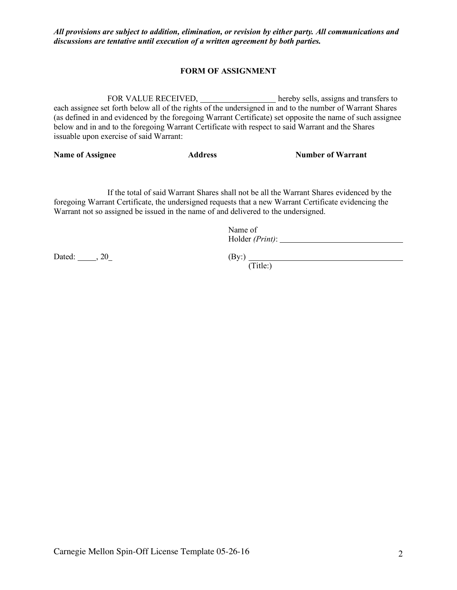### **FORM OF ASSIGNMENT**

FOR VALUE RECEIVED, hereby sells, assigns and transfers to each assignee set forth below all of the rights of the undersigned in and to the number of Warrant Shares (as defined in and evidenced by the foregoing Warrant Certificate) set opposite the name of such assignee below and in and to the foregoing Warrant Certificate with respect to said Warrant and the Shares issuable upon exercise of said Warrant:

**Name of Assignee Address Address Number of Warrant** 

If the total of said Warrant Shares shall not be all the Warrant Shares evidenced by the foregoing Warrant Certificate, the undersigned requests that a new Warrant Certificate evidencing the Warrant not so assigned be issued in the name of and delivered to the undersigned.

> Name of Holder *(Print)*:

Dated:  $\_\_\_\_$ , 20

 $(By)$   $(Title)$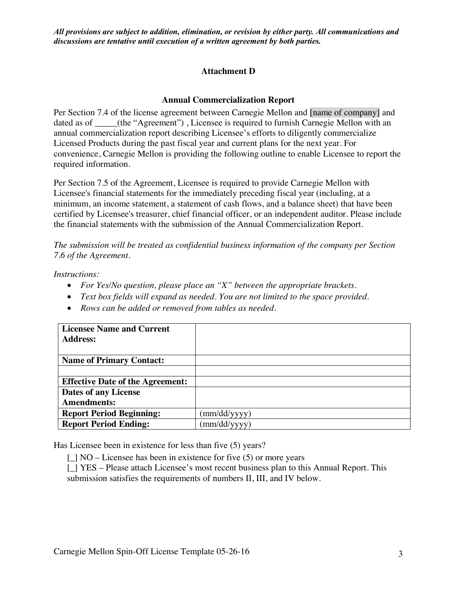# **Attachment D**

## **Annual Commercialization Report**

Per Section 7.4 of the license agreement between Carnegie Mellon and [name of company] and dated as of \_\_\_\_(the "Agreement"), Licensee is required to furnish Carnegie Mellon with an annual commercialization report describing Licensee's efforts to diligently commercialize Licensed Products during the past fiscal year and current plans for the next year. For convenience, Carnegie Mellon is providing the following outline to enable Licensee to report the required information.

Per Section 7.5 of the Agreement, Licensee is required to provide Carnegie Mellon with Licensee's financial statements for the immediately preceding fiscal year (including, at a minimum, an income statement, a statement of cash flows, and a balance sheet) that have been certified by Licensee's treasurer, chief financial officer, or an independent auditor. Please include the financial statements with the submission of the Annual Commercialization Report.

*The submission will be treated as confidential business information of the company per Section 7.6 of the Agreement.*

*Instructions:* 

- *For Yes/No question, please place an "X" between the appropriate brackets.*
- *Text box fields will expand as needed. You are not limited to the space provided.*
- *Rows can be added or removed from tables as needed.*

| <b>Licensee Name and Current</b>        |              |
|-----------------------------------------|--------------|
| <b>Address:</b>                         |              |
|                                         |              |
| <b>Name of Primary Contact:</b>         |              |
|                                         |              |
| <b>Effective Date of the Agreement:</b> |              |
| <b>Dates of any License</b>             |              |
| <b>Amendments:</b>                      |              |
| <b>Report Period Beginning:</b>         | (mm/dd/yyyy) |
| <b>Report Period Ending:</b>            | (mm/dd/yyyy) |

Has Licensee been in existence for less than five (5) years?

 $[$   $\sqrt{NO}$  – Licensee has been in existence for five (5) or more years

[\_] YES – Please attach Licensee's most recent business plan to this Annual Report. This submission satisfies the requirements of numbers II, III, and IV below.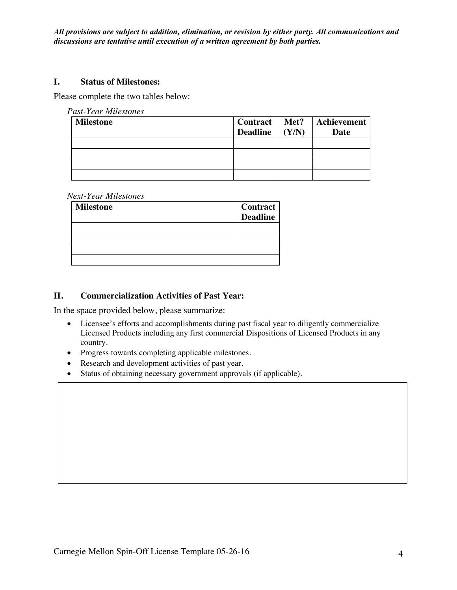### **I. Status of Milestones:**

Please complete the two tables below:

|  | Past-Year Milestones |
|--|----------------------|
|--|----------------------|

| <b>Milestone</b> | Control<br>Deadline $(Y/N)$ | Met? | <b>Achievement</b><br>Date |
|------------------|-----------------------------|------|----------------------------|
|                  |                             |      |                            |
|                  |                             |      |                            |
|                  |                             |      |                            |
|                  |                             |      |                            |

#### *Next-Year Milestones*

| <b>Milestone</b> | <b>Contract</b><br><b>Deadline</b> |
|------------------|------------------------------------|
|                  |                                    |
|                  |                                    |
|                  |                                    |
|                  |                                    |

## **II. Commercialization Activities of Past Year:**

In the space provided below, please summarize:

- Licensee's efforts and accomplishments during past fiscal year to diligently commercialize Licensed Products including any first commercial Dispositions of Licensed Products in any country.
- Progress towards completing applicable milestones.
- Research and development activities of past year.
- Status of obtaining necessary government approvals (if applicable).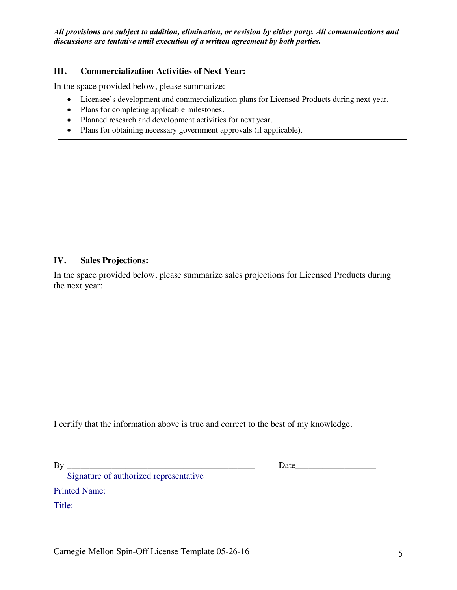## **III. Commercialization Activities of Next Year:**

In the space provided below, please summarize:

- Licensee's development and commercialization plans for Licensed Products during next year.
- Plans for completing applicable milestones.
- Planned research and development activities for next year.
- Plans for obtaining necessary government approvals (if applicable).

## **IV. Sales Projections:**

In the space provided below, please summarize sales projections for Licensed Products during the next year:

I certify that the information above is true and correct to the best of my knowledge.

By \_\_\_\_\_\_\_\_\_\_\_\_\_\_\_\_\_\_\_\_\_\_\_\_\_\_\_\_\_\_\_\_\_\_\_\_\_\_\_\_\_\_ Date\_\_\_\_\_\_\_\_\_\_\_\_\_\_\_\_\_\_

Signature of authorized representative

Printed Name:

Title: